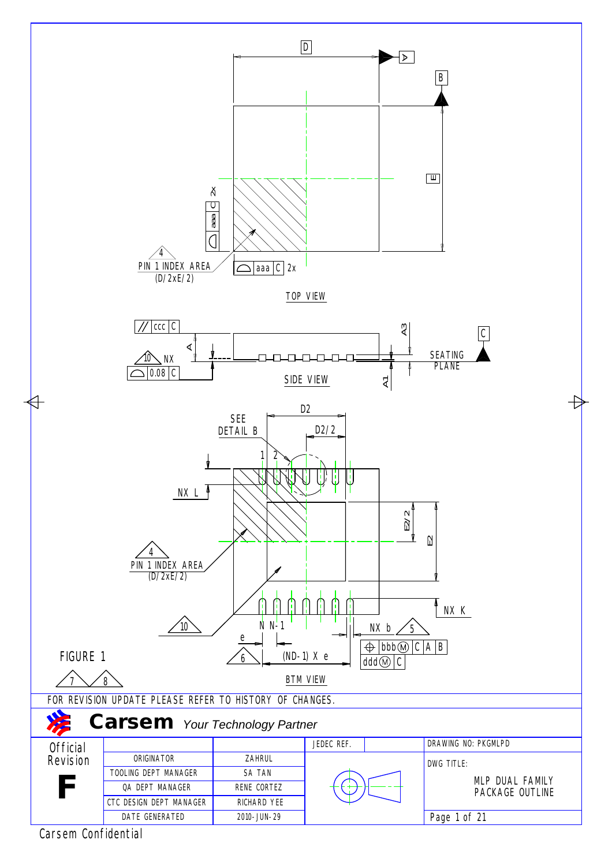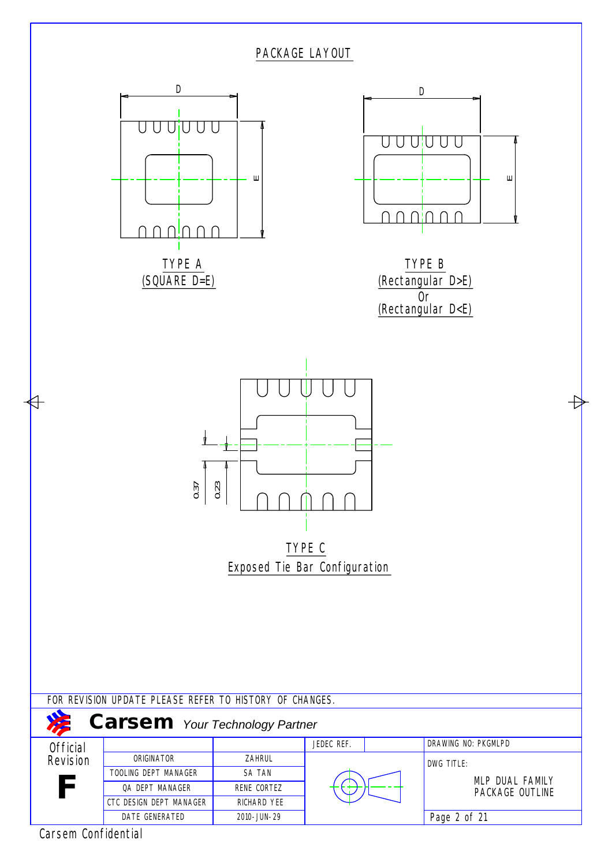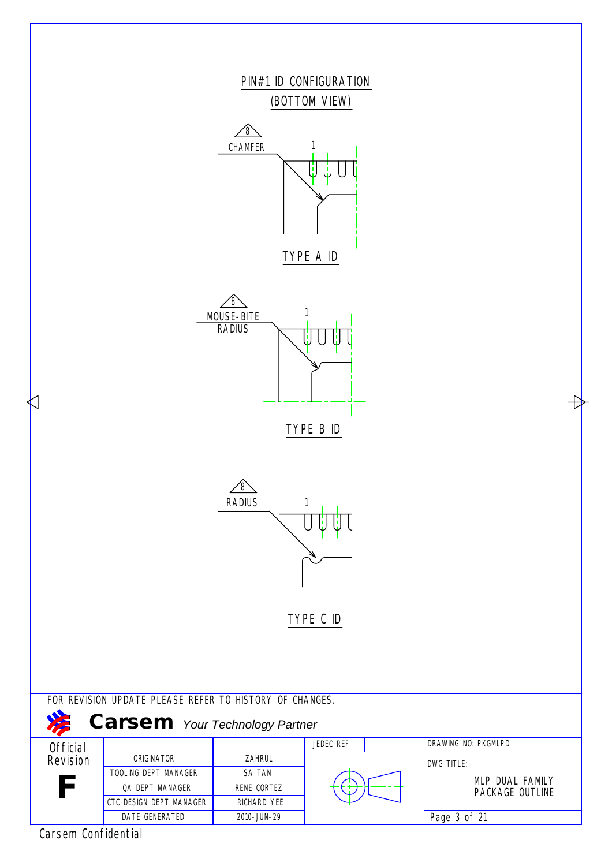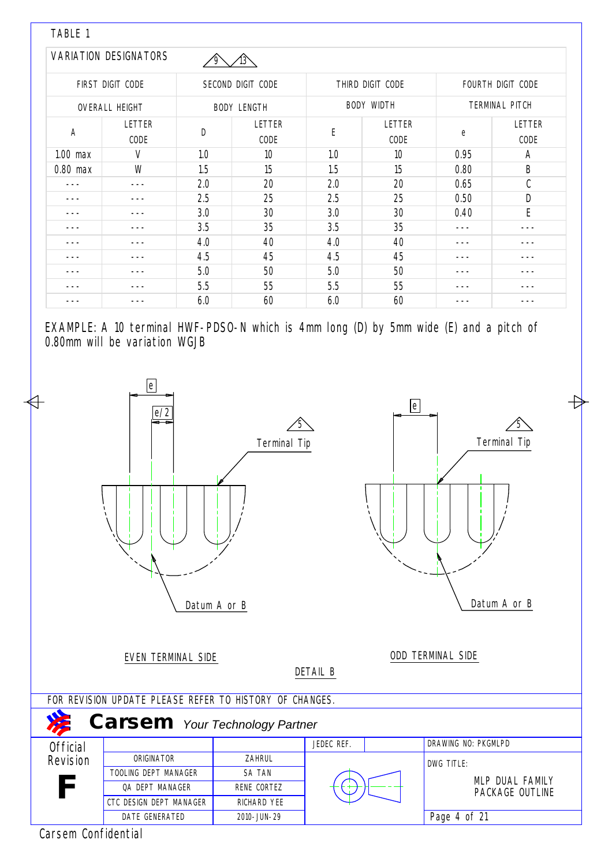| TABLE 1        |                              |     |                    |     |                   |      |                       |
|----------------|------------------------------|-----|--------------------|-----|-------------------|------|-----------------------|
|                | <b>VARIATION DESIGNATORS</b> |     |                    |     |                   |      |                       |
|                | FIRST DIGIT CODE             |     | SECOND DIGIT CODE  |     | THIRD DIGIT CODE  |      | FOURTH DIGIT CODE     |
|                | <b>OVERALL HEIGHT</b>        |     | <b>BODY LENGTH</b> |     | <b>BODY WIDTH</b> |      | <b>TERMINAL PITCH</b> |
| $\overline{A}$ | LETTER<br>CODE               | D   | LETTER<br>CODE     | E   | LETTER<br>CODE    | e    | LETTER<br>CODE        |
| $1.00$ max     | V                            | 1.0 | 10                 | 1.0 | 10                | 0.95 | Α                     |
| $0.80$ max     | W                            | 1.5 | 15                 | 1.5 | 15                | 0.80 | B                     |
|                | ---                          | 2.0 | 20                 | 2.0 | 20                | 0.65 | C                     |
|                |                              | 2.5 | 25                 | 2.5 | 25                | 0.50 | D                     |
|                |                              | 3.0 | 30                 | 3.0 | 30                | 0.40 | E                     |
|                |                              | 3.5 | 35                 | 3.5 | 35                |      |                       |
|                |                              | 4.0 | 40                 | 4.0 | 40                |      |                       |
|                |                              | 4.5 | 45                 | 4.5 | 45                |      |                       |
|                |                              | 5.0 | 50                 | 5.0 | 50                |      |                       |
|                |                              | 5.5 | 55                 | 5.5 | 55                |      |                       |
|                |                              | 6.0 | 60                 | 6.0 | 60                |      |                       |

EXAMPLE: A 10 terminal HWF-PDSO-N which is 4mm long (D) by 5mm wide (E) and a pitch of 0.80mm will be variation WGJB



Carsem Confidential

7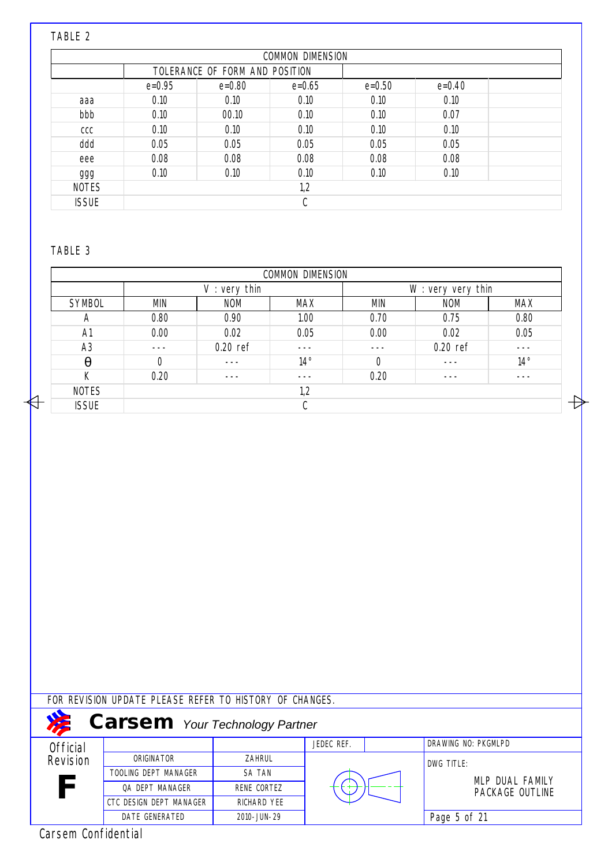#### TABLE 2

|              |            |                                | <b>COMMON DIMENSION</b> |            |            |  |
|--------------|------------|--------------------------------|-------------------------|------------|------------|--|
|              |            | TOLERANCE OF FORM AND POSITION |                         |            |            |  |
|              | $e = 0.95$ | $e = 0.80$                     | $e = 0.65$              | $e = 0.50$ | $e = 0.40$ |  |
| aaa          | 0.10       | 0.10                           | 0.10                    | 0.10       | 0.10       |  |
| bbb          | 0.10       | 00.10                          | 0.10                    | 0.10       | 0.07       |  |
| CCC          | 0.10       | 0.10                           | 0.10                    | 0.10       | 0.10       |  |
| ddd          | 0.05       | 0.05                           | 0.05                    | 0.05       | 0.05       |  |
| eee          | 0.08       | 0.08                           | 0.08                    | 0.08       | 0.08       |  |
| ggg          | 0.10       | 0.10                           | 0.10                    | 0.10       | 0.10       |  |
| <b>NOTES</b> | 1,2        |                                |                         |            |            |  |
| <b>ISSUE</b> |            |                                | C                       |            |            |  |

#### TABLE 3

 $\overline{\mathbb{H}}$ 

| <b>COMMON DIMENSION</b> |                  |            |              |                        |            |              |  |  |  |
|-------------------------|------------------|------------|--------------|------------------------|------------|--------------|--|--|--|
|                         | very thin<br>V : |            |              | $W:$ very very<br>thin |            |              |  |  |  |
| <b>SYMBOL</b>           | <b>MIN</b>       | <b>NOM</b> | MAX          | <b>MIN</b>             | <b>NOM</b> | <b>MAX</b>   |  |  |  |
| $\overline{A}$          | 0.80             | 0.90       | 1.00         | 0.70                   | 0.75       | 0.80         |  |  |  |
| A <sub>1</sub>          | 0.00             | 0.02       | 0.05         | 0.00                   | 0.02       | 0.05         |  |  |  |
| A <sub>3</sub>          | ---              | $0.20$ ref | - - -        | ---                    | $0.20$ ref | - - -        |  |  |  |
| $\theta$                | $\mathbf 0$      |            | $14^{\circ}$ | $\mathbf 0$            |            | $14^{\circ}$ |  |  |  |
| К                       | 0.20             |            | ---          | 0.20                   |            |              |  |  |  |
| <b>NOTES</b>            | 1,2              |            |              |                        |            |              |  |  |  |
| <b>ISSUE</b>            |                  | C          |              |                        |            |              |  |  |  |

 $\overline{+}$ 

FOR REVISION UPDATE PLEASE REFER TO HISTORY OF CHANGES.

| <b>Carsem</b> Your Technology Partner |                         |               |            |  |                     |  |  |  |  |
|---------------------------------------|-------------------------|---------------|------------|--|---------------------|--|--|--|--|
| <b>Official</b>                       |                         |               | JEDEC REF. |  | DRAWING NO: PKGMLPD |  |  |  |  |
| Revision                              | ORIGINATOR              | ZAHRUL        |            |  | DWG TITLE:          |  |  |  |  |
|                                       | TOOLING DEPT MANAGER    | <b>SA TAN</b> |            |  | MLP DUAL FAMILY     |  |  |  |  |
| F                                     | OA DEPT MANAGER         | RENE CORTEZ   |            |  | PACKAGE OUTLINE     |  |  |  |  |
|                                       | CTC DESIGN DEPT MANAGER | RICHARD YEE   |            |  |                     |  |  |  |  |
|                                       | DATE GENERATED          | 2010-JUN-29   |            |  | Page 5 of 21        |  |  |  |  |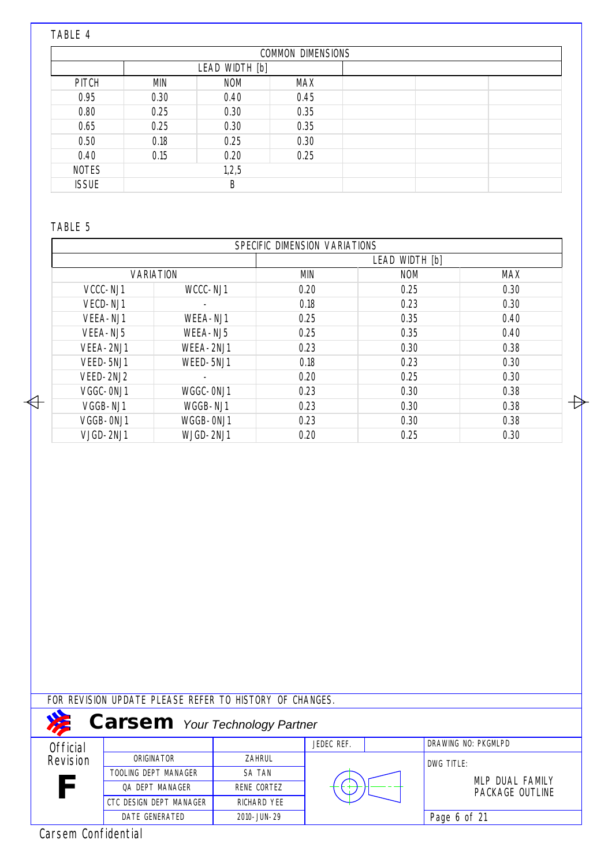# TABLE 4

|              |            |                | <b>COMMON DIMENSIONS</b> |  |  |
|--------------|------------|----------------|--------------------------|--|--|
|              |            | LEAD WIDTH [b] |                          |  |  |
| <b>PITCH</b> | <b>MIN</b> | <b>NOM</b>     | <b>MAX</b>               |  |  |
| 0.95         | 0.30       | 0.40           | 0.45                     |  |  |
| 0.80         | 0.25       | 0.30           | 0.35                     |  |  |
| 0.65         | 0.25       | 0.30           | 0.35                     |  |  |
| 0.50         | 0.18       | 0.25           | 0.30                     |  |  |
| 0.40         | 0.15       | 0.20           | 0.25                     |  |  |
| <b>NOTES</b> | 1,2,5      |                |                          |  |  |
| <b>ISSUE</b> | B          |                |                          |  |  |

#### TABLE 5

 $\overline{\mathbb{H}}$ 

|           |                  | SPECIFIC DIMENSION VARIATIONS |            |            |  |  |  |
|-----------|------------------|-------------------------------|------------|------------|--|--|--|
|           | LEAD WIDTH [b]   |                               |            |            |  |  |  |
|           | <b>VARIATION</b> |                               | <b>NOM</b> | <b>MAX</b> |  |  |  |
| VCCC-NJ1  | WCCC-NJ1         | 0.20                          | 0.25       | 0.30       |  |  |  |
| VECD-NJ1  | -                | 0.18                          | 0.23       | 0.30       |  |  |  |
| VEEA-NJ1  | WEEA-NJ1         | 0.25                          | 0.35       | 0.40       |  |  |  |
| VEEA-NJ5  | WEEA-NJ5         | 0.25                          | 0.35       | 0.40       |  |  |  |
| VEEA-2NJ1 | WEEA-2NJ1        | 0.23                          | 0.30       | 0.38       |  |  |  |
| VEED-5NJ1 | WEED-5NJ1        | 0.18                          | 0.23       | 0.30       |  |  |  |
| VEED-2NJ2 |                  | 0.20                          | 0.25       | 0.30       |  |  |  |
| VGGC-0NJ1 | WGGC-0NJ1        | 0.23                          | 0.30       | 0.38       |  |  |  |
| VGGB-NJ1  | WGGB-NJ1         | 0.23                          | 0.30       | 0.38       |  |  |  |
| VGGB-0NJ1 | WGGB-0NJ1        | 0.23                          | 0.30       | 0.38       |  |  |  |
| VJGD-2NJ1 | WJGD-2NJ1        | 0.20                          | 0.25       | 0.30       |  |  |  |

FOR REVISION UPDATE PLEASE REFER TO HISTORY OF CHANGES.

| <b>Carsem</b> Your Technology Partner |                         |               |            |  |                     |  |  |  |  |  |
|---------------------------------------|-------------------------|---------------|------------|--|---------------------|--|--|--|--|--|
| Official                              |                         |               | JEDEC REF. |  | DRAWING NO: PKGMLPD |  |  |  |  |  |
| Revision                              | ORIGINATOR              | ZAHRUL        |            |  | DWG TITLE:          |  |  |  |  |  |
|                                       | TOOLING DEPT MANAGER    | <b>SA TAN</b> |            |  | MLP DUAL FAMILY     |  |  |  |  |  |
| F                                     | <b>QA DEPT MANAGER</b>  | RENE CORTEZ   |            |  | PACKAGE OUTLINE     |  |  |  |  |  |
|                                       | CTC DESIGN DEPT MANAGER | RICHARD YEE   |            |  |                     |  |  |  |  |  |
|                                       | DATE GENERATED          | 2010-JUN-29   |            |  | Page 6 of 21        |  |  |  |  |  |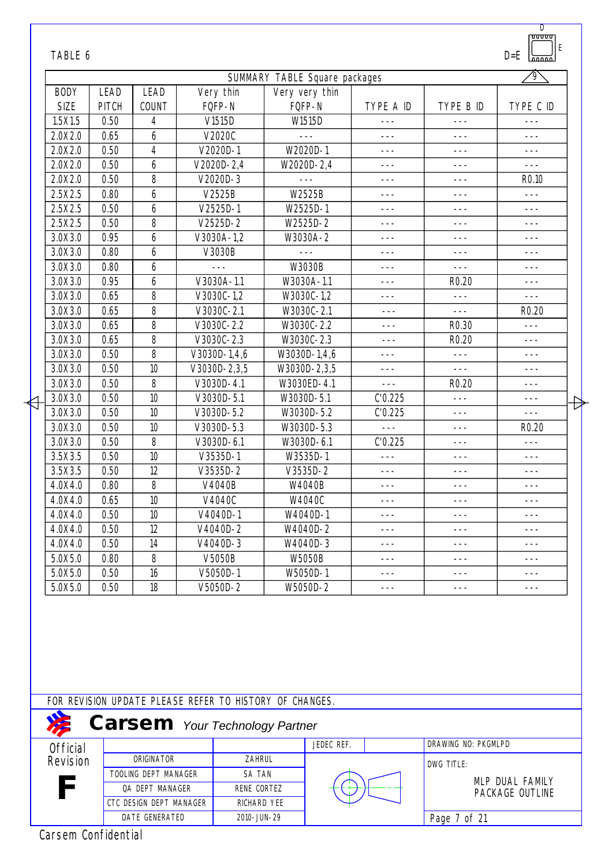|                 | TABLE 6     |                                            |                                                                                                  | SUMMARY TABLE Square packages |           |                     | $D = E$<br>Lonno<br>'9`                |
|-----------------|-------------|--------------------------------------------|--------------------------------------------------------------------------------------------------|-------------------------------|-----------|---------------------|----------------------------------------|
| <b>BODY</b>     | <b>LEAD</b> | LEAD                                       | Very thin                                                                                        | Very very thin                |           |                     |                                        |
| <b>SIZE</b>     | PITCH       | COUNT                                      | FQFP-N                                                                                           | FQFP-N                        | TYPE A ID | TYPE B ID           | TYPE C ID                              |
| 1.5X1.5         | 0.50        | 4                                          | V1515D                                                                                           | W1515D                        | $- - -$   | $- - -$             |                                        |
| 2.0X2.0         | 0.65        | 6                                          | V2020C                                                                                           |                               | $- - -$   | $- - -$             | $- - -$                                |
| 2.0X2.0         | 0.50        | $\overline{4}$                             | V2020D-1                                                                                         | W2020D-1                      | $- - -$   | ---                 | ---                                    |
| 2.0X2.0         | 0.50        | 6                                          | $V2020D - 2,4$                                                                                   | W2020D-2,4                    | $- - -$   | $- - -$             | $---$                                  |
| 2.0X2.0         | 0.50        | 8                                          | $V2020D-3$                                                                                       | $- - -$                       |           |                     | R <sub>0.10</sub>                      |
| 2.5X2.5         | 0.80        | 6                                          | V2525B                                                                                           | W2525B                        | ---       | ---                 | $- - -$                                |
| 2.5X2.5         | 0.50        | 6                                          | $V2525D-1$                                                                                       | W2525D-1                      | $- - -$   | $- - -$             | $- - -$                                |
| 2.5X2.5         | 0.50        | 8                                          | $V2525D-2$                                                                                       | W2525D-2                      |           | $- - -$             |                                        |
| 3.0X3.0         | 0.95        | 6                                          | V3030A-1,2                                                                                       | W3030A-2                      | ---       | $- - -$             | ---                                    |
| 3.0X3.0         | 0.80        | 6                                          | V3030B                                                                                           |                               | ---       | ---                 |                                        |
| 3.0X3.0         | 0.80        | 6                                          |                                                                                                  | W3030B                        | ---       | $- - -$             | ---                                    |
| 3.0X3.0         | 0.95        | 6                                          | V3030A-1.1                                                                                       | W3030A-1.1                    | $- - -$   | R <sub>0.20</sub>   | $---$                                  |
| 3.0X3.0         | 0.65        | 8                                          | V3030C-1,2                                                                                       | W3030C-1,2                    | $- - -$   | $- - -$             | $- - -$                                |
| 3.0X3.0         | 0.65        | 8                                          | V3030C-2.1                                                                                       | W3030C-2.1                    | $- - -$   | $- - -$             | R <sub>0.20</sub>                      |
| 3.0X3.0         | 0.65        | 8                                          | $V3030C - 2.2$                                                                                   | W3030C-2.2                    | $- - -$   | R <sub>0.30</sub>   | $- - -$                                |
| 3.0X3.0         | 0.65        | 8                                          | V3030C-2.3                                                                                       | W3030C-2.3                    | ---       | R <sub>0.20</sub>   |                                        |
| 3.0X3.0         | 0.50        | 8                                          | $V3030D-1,4,6$                                                                                   | W3030D-1,4,6                  | ---       | $- - -$             | ---                                    |
| 3.0X3.0         | 0.50        | 10                                         | $V3030D - 2,3,5$                                                                                 | W3030D-2,3,5                  | $---$     | $- - -$             | $- - -$                                |
| 3.0X3.0         | 0.50        | 8                                          | $V3030D - 4.1$                                                                                   | W3030ED-4.1                   | $- - -$   | R <sub>0.20</sub>   |                                        |
| 3.0X3.0         | 0.50        | 10                                         | V3030D-5.1                                                                                       | W3030D-5.1                    | C'0.225   | $- - -$             | $- - -$                                |
| 3.0X3.0         | 0.50        | 10                                         | V3030D-5.2                                                                                       | W3030D-5.2                    | C'0.225   | $- - -$             | $\operatorname{\mathsf{H}}$<br>$- - -$ |
| 3.0X3.0         | 0.50        | 10                                         | V3030D-5.3                                                                                       | W3030D-5.3                    | $- - -$   | ---                 | R <sub>0.20</sub>                      |
| 3.0X3.0         | 0.50        | 8                                          | V3030D-6.1                                                                                       | W3030D-6.1                    | C'0.225   | ---                 | $---$                                  |
| 3.5X3.5         | 0.50        | 10                                         | V3535D-1                                                                                         | W3535D-1                      | $- - -$   | $- - -$             | ---                                    |
| 3.5X3.5         | 0.50        | 12                                         | V3535D-2                                                                                         | V3535D-2                      | $- - -$   | ---                 | ---                                    |
| 4.0X4.0         | 0.80        | 8                                          | V4040B                                                                                           | W4040B                        | $- - -$   | $- - -$             | $---$                                  |
| 4.0X4.0         | 0.65        | 10                                         | V4040C                                                                                           | W4040C                        | $- - -$   | $- - -$             | ---                                    |
| 4.0X4.0         | 0.50        | 10                                         | V4040D-1                                                                                         | W4040D-1                      | ---       | ---                 | ---                                    |
| 4.0X4.0         | 0.50        | 12                                         | V4040D-2                                                                                         | W4040D-2                      | ---       | ---                 | ---                                    |
| 4.0X4.0         | 0.50        | 14                                         | V4040D-3                                                                                         | W4040D-3                      | ---       | ---                 |                                        |
| 5.0X5.0         | 0.80        | 8                                          | V5050B                                                                                           | <b>W5050B</b>                 | $---$     | ---                 | $- - -$                                |
| 5.0X5.0         | 0.50        | 16                                         | V5050D-1                                                                                         | W5050D-1                      | ---       | ---                 | $- - -$                                |
| 5.0X5.0         | 0.50        | 18                                         | $V5050D-2$                                                                                       | W5050D-2                      | $---$     | $- - -$             | ---                                    |
|                 |             |                                            |                                                                                                  |                               |           |                     |                                        |
|                 |             |                                            | FOR REVISION UPDATE PLEASE REFER TO HISTORY OF CHANGES.<br><b>Carsem</b> Your Technology Partner |                               |           |                     |                                        |
|                 |             |                                            |                                                                                                  | JEDEC REF.                    |           | DRAWING NO: PKGMLPD |                                        |
|                 |             |                                            |                                                                                                  |                               |           |                     |                                        |
| <b>Official</b> |             |                                            |                                                                                                  |                               |           |                     |                                        |
| Revision        |             | ORIGINATOR                                 | ZAHRUL                                                                                           |                               |           | DWG TITLE:          |                                        |
|                 |             | TOOLING DEPT MANAGER                       | SA TAN                                                                                           |                               |           |                     | MLP DUAL FAMILY                        |
|                 |             | QA DEPT MANAGER<br>CTC DESIGN DEPT MANAGER | RENE CORTEZ                                                                                      | RICHARD YEE                   |           |                     | PACKAGE OUTLINE                        |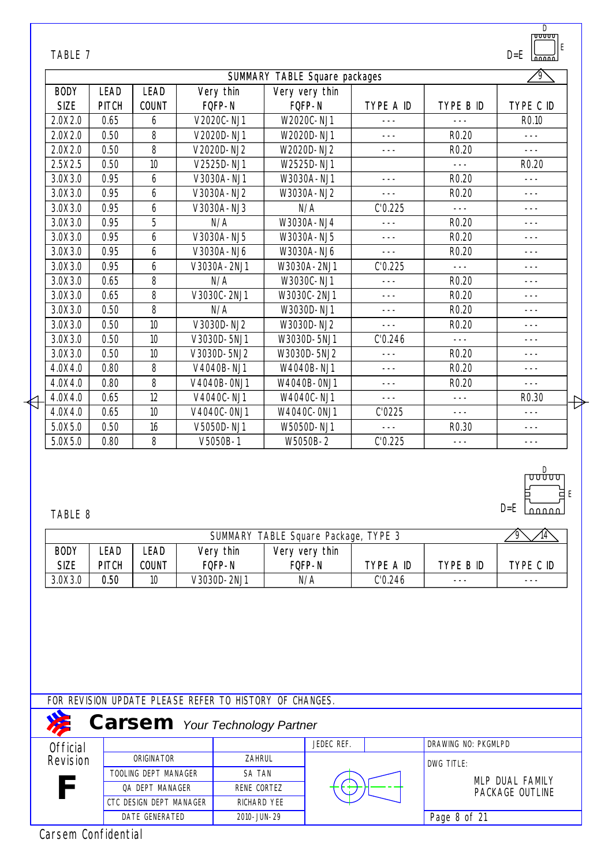| SUMMARY TABLE Square packages |              |              |             |                |           |                   |                   |  |
|-------------------------------|--------------|--------------|-------------|----------------|-----------|-------------------|-------------------|--|
| <b>BODY</b>                   | <b>LEAD</b>  | <b>LEAD</b>  | Very thin   | Very very thin |           |                   |                   |  |
| <b>SIZE</b>                   | <b>PITCH</b> | <b>COUNT</b> | FQFP-N      | FQFP-N         | TYPE A ID | TYPE B ID         | TYPE C ID         |  |
| 2.0X2.0                       | 0.65         | 6            | V2020C-NJ1  | W2020C-NJ1     | $- - -$   |                   | R <sub>0.10</sub> |  |
| 2.0X2.0                       | 0.50         | 8            | V2020D-NJ1  | W2020D-NJ1     | $- - -$   | R <sub>0.20</sub> | $- - -$           |  |
| 2.0X2.0                       | 0.50         | 8            | V2020D-NJ2  | W2020D-NJ2     | $- - -$   | R <sub>0.20</sub> | $---$             |  |
| 2.5X2.5                       | 0.50         | 10           | V2525D-NJ1  | W2525D-NJ1     |           | $- - -$           | R <sub>0.20</sub> |  |
| 3.0X3.0                       | 0.95         | 6            | V3030A-NJ1  | W3030A-NJ1     | $- - -$   | R <sub>0.20</sub> | $---$             |  |
| 3.0X3.0                       | 0.95         | 6            | V3030A-NJ2  | W3030A-NJ2     | $- - -$   | R <sub>0.20</sub> | $- - -$           |  |
| 3.0X3.0                       | 0.95         | 6            | V3030A-NJ3  | N/A            | C'0.225   | $- - -$           | $---$             |  |
| 3.0X3.0                       | 0.95         | 5            | N/A         | W3030A-NJ4     | $- - -$   | R <sub>0.20</sub> | ---               |  |
| 3.0X3.0                       | 0.95         | 6            | V3030A-NJ5  | W3030A-NJ5     | $- - -$   | R <sub>0.20</sub> | $- - -$           |  |
| 3.0X3.0                       | 0.95         | 6            | V3030A-NJ6  | W3030A-NJ6     | $- - -$   | R <sub>0.20</sub> | $- - -$           |  |
| 3.0X3.0                       | 0.95         | 6            | V3030A-2NJ1 | W3030A-2NJ1    | C'0.225   | $- - -$           | $- - -$           |  |
| 3.0X3.0                       | 0.65         | 8            | N/A         | W3030C-NJ1     | $- - -$   | R <sub>0.20</sub> | ---               |  |
| 3.0X3.0                       | 0.65         | 8            | V3030C-2NJ1 | W3030C-2NJ1    | ---       | R <sub>0.20</sub> | $- - -$           |  |
| 3.0X3.0                       | 0.50         | 8            | N/A         | W3030D-NJ1     | ---       | R <sub>0.20</sub> | ---               |  |
| 3.0X3.0                       | 0.50         | 10           | V3030D-NJ2  | W3030D-NJ2     | $---$     | R <sub>0.20</sub> | ---               |  |
| 3.0X3.0                       | 0.50         | 10           | V3030D-5NJ1 | W3030D-5NJ1    | C'0.246   | $- - -$           | ---               |  |
| 3.0X3.0                       | 0.50         | 10           | V3030D-5NJ2 | W3030D-5NJ2    | $---$     | R <sub>0.20</sub> | $- - -$           |  |
| 4.0X4.0                       | 0.80         | 8            | V4040B-NJ1  | W4040B-NJ1     | $- - -$   | R <sub>0.20</sub> | $- - -$           |  |
| 4.0X4.0                       | 0.80         | 8            | V4040B-0NJ1 | W4040B-0NJ1    | $- - -$   | R <sub>0.20</sub> | $- - -$           |  |
| 4.0X4.0                       | 0.65         | 12           | V4040C-NJ1  | W4040C-NJ1     | $- - -$   | $- - -$           | R <sub>0.30</sub> |  |
| 4.0X4.0                       | 0.65         | 10           | V4040C-0NJ1 | W4040C-0NJ1    | C'0225    | $- - -$           | $- - -$           |  |
| 5.0X5.0                       | 0.50         | 16           | V5050D-NJ1  | W5050D-NJ1     | $- - -$   | R <sub>0.30</sub> | $- - -$           |  |
| 5.0X5.0                       | 0.80         | 8            | V5050B-1    | W5050B-2       | C'0.225   | $- - -$           | $---$             |  |

D

E

D=E

## TABLE 8

| TABLE Square Package, TYPE 3<br><b>SUMMARY</b> |              |              |             |                |           |           |           |
|------------------------------------------------|--------------|--------------|-------------|----------------|-----------|-----------|-----------|
| <b>BODY</b>                                    | ∟EAD         | LEAD         | Very thin   | Very very thin |           |           |           |
| <b>SIZE</b>                                    | <b>PITCH</b> | <b>COUNT</b> | FOFP-N      | FQFP-N         | TYPE A ID | type b id | TYPE C ID |
| 3.0X3.0                                        | 0.50         | 10           | V3030D-2NJ1 | N/A            | C'0.246   | ---       | ---       |

FOR REVISION UPDATE PLEASE REFER TO HISTORY OF CHANGES.

| <b>Carsem</b> Your Technology Partner |                         |               |            |  |                     |  |  |  |  |  |
|---------------------------------------|-------------------------|---------------|------------|--|---------------------|--|--|--|--|--|
| Official                              |                         |               | JEDEC REF. |  | DRAWING NO: PKGMLPD |  |  |  |  |  |
| Revision                              | ORIGINATOR              | <b>ZAHRUL</b> |            |  | DWG TITLE:          |  |  |  |  |  |
|                                       | TOOLING DEPT MANAGER    | <b>SA TAN</b> |            |  | MLP DUAL FAMILY     |  |  |  |  |  |
| F                                     | OA DEPT MANAGER         | RENE CORTEZ   |            |  | PACKAGE OUTLINE     |  |  |  |  |  |
|                                       | CTC DESIGN DEPT MANAGER | RICHARD YEE   |            |  |                     |  |  |  |  |  |
|                                       | DATE GENERATED          | 2010-JUN-29   |            |  | Page 8 of 21        |  |  |  |  |  |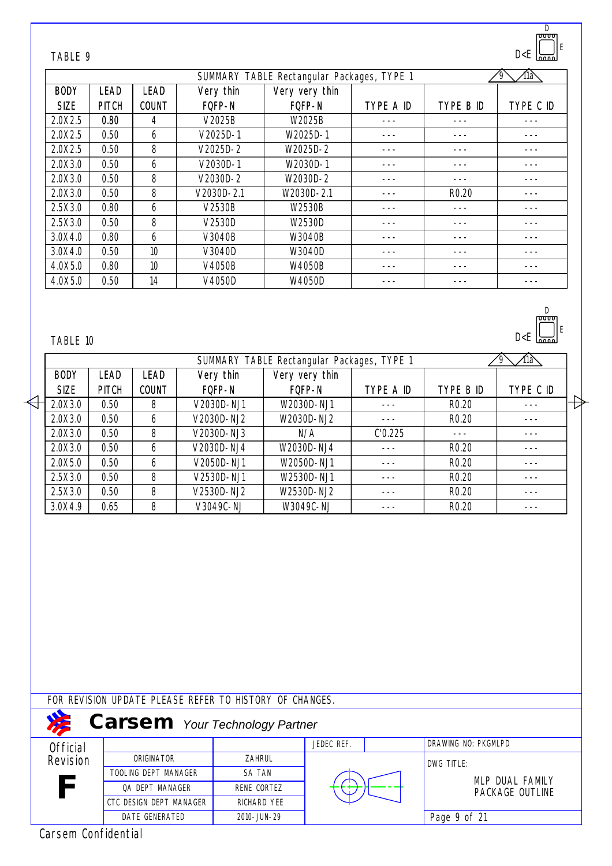| TABLE 9     |              |              |            |                |           |                   | II E<br>D < E<br>$\overline{nnn}$ |
|-------------|--------------|--------------|------------|----------------|-----------|-------------------|-----------------------------------|
|             |              |              | í1à        |                |           |                   |                                   |
| <b>BODY</b> | <b>LEAD</b>  | <b>LEAD</b>  | Very thin  | Very very thin |           |                   |                                   |
| <b>SIZE</b> | <b>PITCH</b> | <b>COUNT</b> | FQFP-N     | FOFP-N         | TYPE A ID | TYPE B ID         | TYPE C ID                         |
| 2.0X2.5     | 0.80         | 4            | V2025B     | W2025B         |           |                   |                                   |
| 2.0X2.5     | 0.50         | 6            | V2025D-1   | W2025D-1       |           |                   |                                   |
| 2.0X2.5     | 0.50         | 8            | $V2025D-2$ | W2025D-2       |           |                   |                                   |
| 2.0X3.0     | 0.50         | 6            | V2030D-1   | W2030D-1       |           |                   |                                   |
| 2.0X3.0     | 0.50         | 8            | $V2030D-2$ | W2030D-2       |           |                   |                                   |
| 2.0X3.0     | 0.50         | 8            | V2030D-2.1 | W2030D-2.1     |           | R <sub>0.20</sub> |                                   |
| 2.5X3.0     | 0.80         | 6            | V2530B     | W2530B         |           |                   |                                   |
| 2.5X3.0     | 0.50         | 8            | V2530D     | W2530D         |           |                   |                                   |
| 3.0X4.0     | 0.80         | 6            | V3040B     | W3040B         |           |                   |                                   |
| 3.0X4.0     | 0.50         | 10           | V3040D     | W3040D         |           |                   |                                   |
| 4.0X5.0     | 0.80         | 10           | V4050B     | W4050B         |           |                   |                                   |
| 4.0X5.0     | 0.50         | 14           | V4050D     | W4050D         |           |                   |                                   |

D

D<E

D

E

## TABLE 10

|             |              |              |            | SUMMARY TABLE Rectangular Packages, TYPE 1 |           |                   | 11à       |  |
|-------------|--------------|--------------|------------|--------------------------------------------|-----------|-------------------|-----------|--|
| <b>BODY</b> | <b>LEAD</b>  | LEAD         | Very thin  | Very very thin                             |           |                   |           |  |
| <b>SIZE</b> | <b>PITCH</b> | <b>COUNT</b> | FOFP-N     | FOFP-N                                     | TYPE A ID | TYPE B ID         | TYPE C ID |  |
| 2.0X3.0     | 0.50         | 8            | V2030D-NJ1 | W2030D-NJ1                                 |           | R <sub>0.20</sub> |           |  |
| 2.0X3.0     | 0.50         | b            | V2030D-NJ2 | W2030D-NJ2                                 |           | R <sub>0.20</sub> |           |  |
| 2.0X3.0     | 0.50         | 8            | V2030D-NJ3 | N/A                                        | C'0.225   |                   |           |  |
| 2.0X3.0     | 0.50         | 6            | V2030D-NJ4 | W2030D-NJ4                                 |           | R <sub>0.20</sub> |           |  |
| 2.0X5.0     | 0.50         | 6            | V2050D-NJ1 | W2050D-NJ1                                 |           | R <sub>0.20</sub> |           |  |
| 2.5X3.0     | 0.50         | 8            | V2530D-NJ1 | W2530D-NJ1                                 |           | R <sub>0.20</sub> |           |  |
| 2.5X3.0     | 0.50         | 8            | V2530D-NJ2 | W2530D-NJ2                                 |           | R <sub>0.20</sub> |           |  |
| 3.0X4.9     | 0.65         | 8            | V3049C-NJ  | W3049C-NJ                                  |           | R <sub>0.20</sub> |           |  |

FOR REVISION UPDATE PLEASE REFER TO HISTORY OF CHANGES.

|                 | <b>Carsem</b> Your Technology Partner |               |            |                     |
|-----------------|---------------------------------------|---------------|------------|---------------------|
| <b>Official</b> |                                       |               | JEDEC REF. | DRAWING NO: PKGMLPD |
| Revision        | ORIGINATOR                            | <b>ZAHRUL</b> |            | DWG TITLE:          |
|                 | TOOLING DEPT MANAGER                  | <b>SA TAN</b> |            | MLP DUAL FAMILY     |
| F               | OA DEPT MANAGER                       | RENE CORTEZ   |            | PACKAGE OUTLINE     |
|                 | CTC DESIGN DEPT MANAGER               | RICHARD YEE   |            |                     |
|                 | DATE GENERATED                        | 2010-JUN-29   |            | Page 9 of 21        |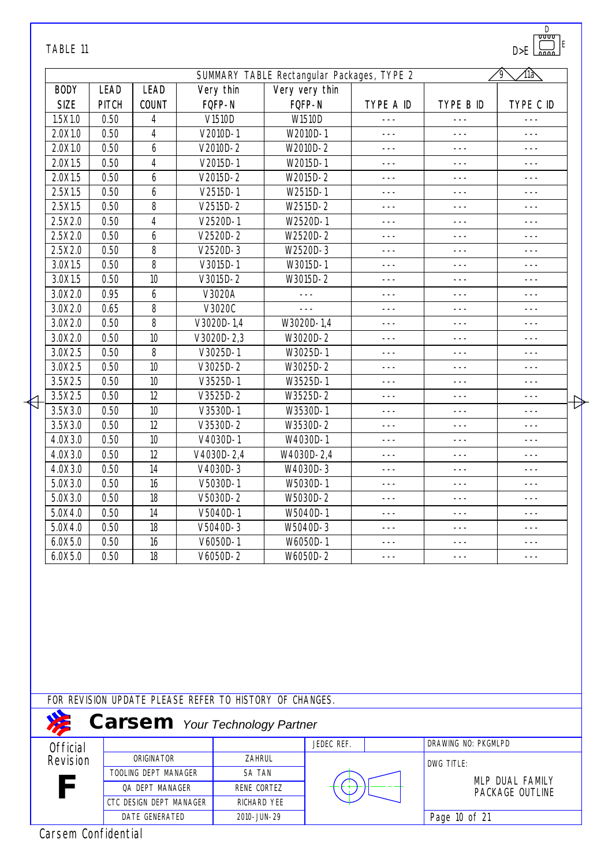| TABLE 11            |              |                         |                |                                                         |                |           |                     | D<br>᠊ᡨᡨ<br>ΙE<br>D > E |   |
|---------------------|--------------|-------------------------|----------------|---------------------------------------------------------|----------------|-----------|---------------------|-------------------------|---|
|                     |              |                         |                | SUMMARY TABLE Rectangular Packages, TYPE 2              |                |           |                     | ∕llaे<br>$\sqrt{9}$     |   |
| <b>BODY</b>         | <b>LEAD</b>  | <b>LEAD</b>             | Very thin      |                                                         | Very very thin |           |                     |                         |   |
| <b>SIZE</b>         | <b>PITCH</b> | <b>COUNT</b>            | FQFP-N         |                                                         | FQFP-N         | TYPE A ID | TYPE B ID           | TYPE C ID               |   |
| 1.5X1.0             | 0.50         | 4                       | V1510D         |                                                         | W1510D         | $- - -$   | $- - -$             | $- - -$                 |   |
| 2.0X1.0             | 0.50         | 4                       | V2010D-1       |                                                         | W2010D-1       | $- - -$   | $- - -$             | $---$                   |   |
| 2.0X1.0             | 0.50         | 6                       | $V2010D - 2$   |                                                         | W2010D-2       | $- - -$   | $- - -$             | $- - -$                 |   |
| 2.0X1.5             | 0.50         | $\overline{4}$          | V2015D-1       |                                                         | W2015D-1       | $- - -$   | $- - -$             | $- - -$                 |   |
| 2.0X1.5             | 0.50         | 6                       | $V2015D-2$     |                                                         | W2015D-2       | $---$     | $- - -$             | $- - -$                 |   |
| 2.5X1.5             | 0.50         | 6                       | $V2515D-1$     |                                                         | W2515D-1       | $- - -$   | $- - -$             | $- - -$                 |   |
| 2.5X1.5             | 0.50         | 8                       | $V2515D-2$     |                                                         | W2515D-2       | ---       | $- - -$             | $- - -$                 |   |
| 2.5X2.0             | 0.50         | 4                       | V2520D-1       |                                                         | W2520D-1       | $---$     | $- - -$             | $- - -$                 |   |
| 2.5X2.0             | 0.50         | 6                       | V2520D-2       |                                                         | W2520D-2       | ---       | ---                 | $- - -$                 |   |
| 2.5X2.0             | 0.50         | 8                       | $V2520D-3$     |                                                         | W2520D-3       | $- - -$   | $- - -$             | $---$                   |   |
| 3.0X1.5             | 0.50         | 8                       | V3015D-1       |                                                         | W3015D-1       | ---       | $- - -$             | ---                     |   |
| 3.0X1.5             | 0.50         | 10                      | $V3015D-2$     |                                                         | W3015D-2       | $---$     | $- - -$             | $- - -$                 |   |
| 3.0X2.0             | 0.95         | 6                       | V3020A         |                                                         | $---$          | $---$     | $- - -$             | $- - -$                 |   |
| 3.0X2.0             | 0.65         | 8                       | V3020C         |                                                         |                | ---       | ---                 | ---                     |   |
| 3.0X2.0             | 0.50         | 8                       | V3020D-1,4     |                                                         | W3020D-1,4     | $- - -$   | $- - -$             | $- - -$                 |   |
| 3.0X2.0             | 0.50         | 10                      | $V3020D - 2,3$ |                                                         | W3020D-2       | $---$     | $- - -$             | $---$                   |   |
| 3.0X2.5             | 0.50         | 8                       | V3025D-1       |                                                         | W3025D-1       | $---$     | $- - -$             | $- - -$                 |   |
| 3.0X2.5             | 0.50         | 10                      | V3025D-2       |                                                         | W3025D-2       | ---       | $- - -$             | $- - -$                 |   |
| 3.5X2.5             | 0.50         | 10                      | $V3525D-1$     |                                                         | W3525D-1       | $- - -$   | $- - -$             | $- - -$                 |   |
| 3.5X2.5             | 0.50         | 12                      | $V3525D-2$     |                                                         | W3525D-2       | $---$     | ---                 | $- - -$                 | Đ |
| 3.5X3.0             | 0.50         | 10                      | V3530D-1       |                                                         | W3530D-1       | $---$     | $- - -$             | $- - -$                 |   |
| 3.5X3.0             | 0.50         | 12                      | V3530D-2       |                                                         | W3530D-2       | $- - -$   | $- - -$             | $---$                   |   |
| 4.0X3.0             | 0.50         | 10                      | V4030D-1       |                                                         | W4030D-1       | $- - -$   | $- - -$             | $- - -$                 |   |
| 4.0X3.0             | 0.50         | 12                      | V4030D-2,4     |                                                         | W4030D-2,4     | $---$     | $- - -$             | $- - -$                 |   |
| 4.0X3.0             | 0.50         | 14                      | V4030D-3       |                                                         | W4030D-3       | $- - -$   | $- - -$             | $---$                   |   |
| 5.0X3.0             | 0.50         | 16                      | V5030D-1       |                                                         | W5030D-1       | $- - -$   | $- - -$             | ---                     |   |
| 5.0X3.0             | 0.50         | 18                      | V5030D-2       |                                                         | W5030D-2       | ---       | ---                 | ---                     |   |
| 5.0X4.0             | 0.50         | 14                      | V5040D-1       |                                                         | W5040D-1       | $- - -$   | $- - -$             | $- - -$                 |   |
| 5.0X4.0             | 0.50         | 18                      | V5040D-3       |                                                         | W5040D-3       |           | ---                 | ---                     |   |
| 6.0X5.0             | 0.50         | 16                      | V6050D-1       |                                                         | W6050D-1       | ---       | $- - -$             | ---                     |   |
| 6.0X5.0             | 0.50         | 18                      | V6050D-2       |                                                         | W6050D-2       | ---       | ---                 | ---                     |   |
|                     |              |                         |                |                                                         |                |           |                     |                         |   |
|                     |              |                         |                | FOR REVISION UPDATE PLEASE REFER TO HISTORY OF CHANGES. |                |           |                     |                         |   |
|                     |              |                         |                | <b>Carsem</b> Your Technology Partner                   |                |           |                     |                         |   |
| <b>Official</b>     |              |                         |                |                                                         | JEDEC REF.     |           | DRAWING NO: PKGMLPD |                         |   |
| Revision            |              | ORIGINATOR              |                | ZAHRUL                                                  |                |           | DWG TITLE:          |                         |   |
|                     |              | TOOLING DEPT MANAGER    |                | SA TAN                                                  |                |           |                     | MLP DUAL FAMILY         |   |
|                     |              | QA DEPT MANAGER         |                | RENE CORTEZ                                             |                |           |                     | PACKAGE OUTLINE         |   |
|                     |              | CTC DESIGN DEPT MANAGER |                | RICHARD YEE                                             |                |           |                     |                         |   |
|                     |              | DATE GENERATED          |                | 2010-JUN-29                                             |                |           | Page 10 of 21       |                         |   |
| Carsem Confidential |              |                         |                |                                                         |                |           |                     |                         |   |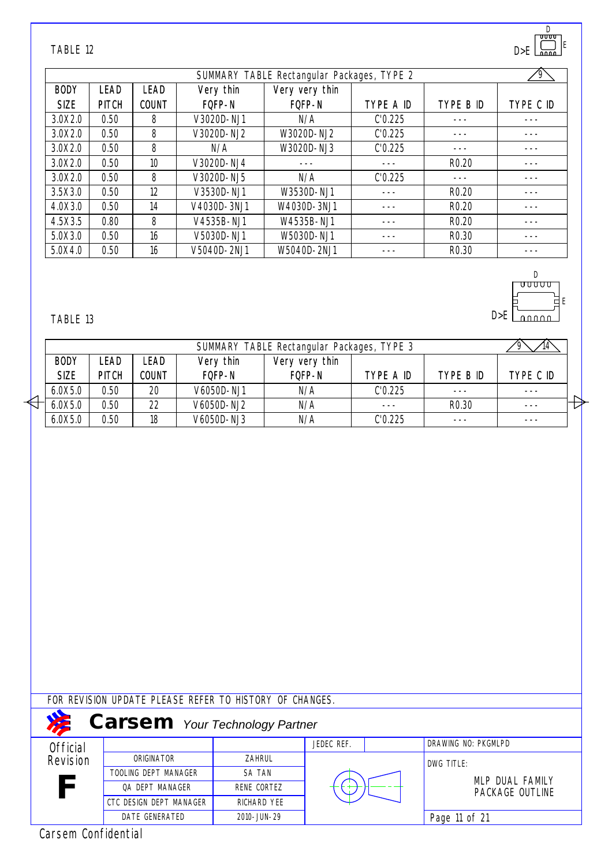| TABLE 12    |              |              |             |                                            |           |                   | "ا لىسە<br>D > E |
|-------------|--------------|--------------|-------------|--------------------------------------------|-----------|-------------------|------------------|
|             |              |              |             | SUMMARY TABLE Rectangular Packages, TYPE 2 |           |                   | 9                |
| <b>BODY</b> | <b>LEAD</b>  | <b>LEAD</b>  | Very thin   | Very very thin                             |           |                   |                  |
| <b>SIZE</b> | <b>PITCH</b> | <b>COUNT</b> | FOFP-N      | FQFP-N                                     | TYPE A ID | TYPE B ID         | TYPE C ID        |
| 3.0X2.0     | 0.50         | 8            | V3020D-NJ1  | N/A                                        | C'0.225   |                   |                  |
| 3.0X2.0     | 0.50         | 8            | V3020D-NJ2  | W3020D-NJ2                                 | C'0.225   |                   |                  |
| 3.0X2.0     | 0.50         | 8            | N/A         | W3020D-NJ3                                 | C'0.225   |                   |                  |
| 3.0X2.0     | 0.50         | 10           | V3020D-NJ4  |                                            |           | R <sub>0.20</sub> |                  |
| 3.0X2.0     | 0.50         | 8            | V3020D-NJ5  | N/A                                        | C'0.225   |                   |                  |
| 3.5X3.0     | 0.50         | 12           | V3530D-NJ1  | W3530D-NJ1                                 |           | R <sub>0.20</sub> |                  |
| 4.0X3.0     | 0.50         | 14           | V4030D-3NJ1 | W4030D-3NJ1                                |           | R <sub>0.20</sub> |                  |
| 4.5X3.5     | 0.80         | 8            | V4535B-NJ1  | W4535B-NJ1                                 |           | R <sub>0.20</sub> |                  |
| 5.0X3.0     | 0.50         | 16           | V5030D-NJ1  | W5030D-NJ1                                 |           | R <sub>0.30</sub> |                  |
| 5.0X4.0     | 0.50         | 16           | V5040D-2NJ1 | W5040D-2NJ1                                |           | R <sub>0.30</sub> |                  |

D

 $\frac{D}{U\cup U\cup U}$ 

ЪE

 $D > E$   $\boxed{\qquad \qquad }$ 

E

#### TABLE 13

|             |              |       |            | SUMMARY TABLE Rectangular Packages, TYPE 3 |           |                   |           |   |
|-------------|--------------|-------|------------|--------------------------------------------|-----------|-------------------|-----------|---|
| <b>BODY</b> | _EAD         | LEAD  | Very thin  | Very very thin                             |           |                   |           |   |
| <b>SIZE</b> | <b>PITCH</b> | COUNT | FOFP-N     | FOFP-N                                     | type a id | TYPE B ID         | type C ID |   |
| 6.0X5.0     | 0.50         | 20    | V6050D-NJ1 | N/A                                        | C'0.225   | $- - -$           |           |   |
| 6.0X5.0     | 0.50         | 22    | V6050D-NJ2 | N/A                                        |           | R <sub>0.30</sub> |           | ∽ |
| 6.0X5.0     | 0.50         | 18    | V6050D-NJ3 | N/A                                        | C'0.225   | $- - -$           | ---       |   |

### FOR REVISION UPDATE PLEASE REFER TO HISTORY OF CHANGES.

|                 | <b>Carsem</b> Your Technology Partner |               |            |                     |
|-----------------|---------------------------------------|---------------|------------|---------------------|
| <b>Official</b> |                                       |               | JEDEC REF. | DRAWING NO: PKGMLPD |
| Revision        | ORIGINATOR                            | <b>ZAHRUL</b> |            | DWG TITLE:          |
|                 | TOOLING DEPT MANAGER                  | <b>SA TAN</b> |            | MLP DUAL FAMILY     |
| F               | OA DEPT MANAGER                       | RENE CORTEZ   |            | PACKAGE OUTLINE     |
|                 | CTC DESIGN DEPT MANAGER               | RICHARD YEE   |            |                     |
|                 | DATE GENERATED                        | 2010-JUN-29   |            | Page 11 of 21       |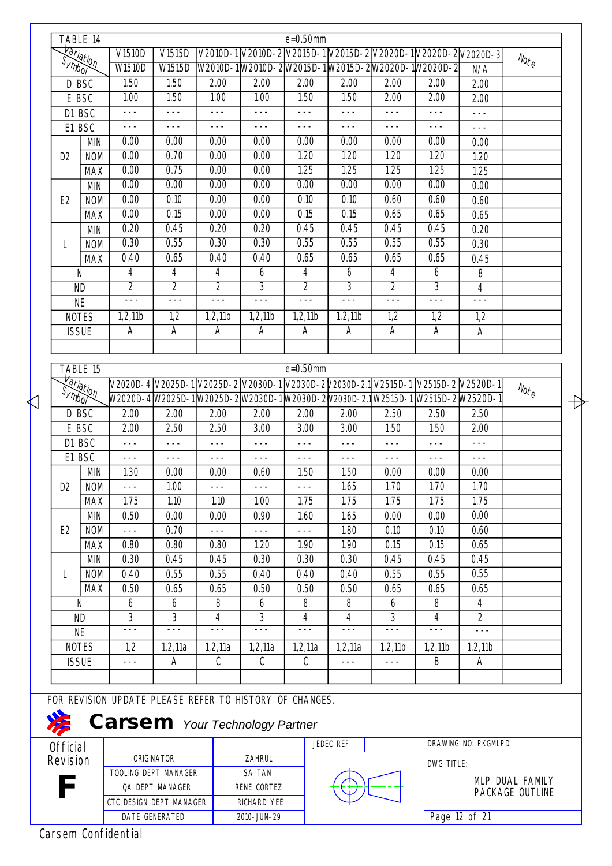|                             | TABLE 14               |                                                         |                 |                |                | $e = 0.50$ mm  |                                                                                    |                |                |                                  |                                  |
|-----------------------------|------------------------|---------------------------------------------------------|-----------------|----------------|----------------|----------------|------------------------------------------------------------------------------------|----------------|----------------|----------------------------------|----------------------------------|
|                             | Hariation              | V1510D                                                  | V1515D          |                |                |                |                                                                                    |                |                |                                  |                                  |
|                             |                        | <b>W1510D</b>                                           | W1515D          |                |                |                | W2010D-1W2010D-2W2015D-1W2015D-2W2020D-1W2020D-2                                   |                |                | N/A                              | $N_{\text{O} \text{r}_\text{C}}$ |
| D BSC                       |                        | 1.50                                                    | 1.50            | 2.00           | 2.00           | 2.00           | 2.00                                                                               | 2.00           | 2.00           | 2.00                             |                                  |
|                             | E BSC                  | 1.00                                                    | 1.50            | 1.00           | 1.00           | 1.50           | 1.50                                                                               | 2.00           | 2.00           | 2.00                             |                                  |
| D1 BSC                      |                        | $- - -$                                                 | $- - -$         | $- - -$        | $- - -$        | $- - -$        | $- - -$                                                                            | $---$          | $---$          | $--$                             |                                  |
| E1 BSC                      |                        | $---$                                                   | $---$           | $- - -$        | $- - -$        | $---$          | $---$                                                                              | $---$          | $--$           | $- - -$                          |                                  |
|                             | <b>MIN</b>             | 0.00                                                    | 0.00            | 0.00           | 0.00           | 0.00           | 0.00                                                                               | 0.00           | 0.00           | 0.00                             |                                  |
| D <sub>2</sub>              | <b>NOM</b>             | 0.00                                                    | 0.70            | 0.00           | 0.00           | 1.20           | 1.20                                                                               | 1.20           | 1.20           | 1.20                             |                                  |
|                             | <b>MAX</b>             | 0.00                                                    | 0.75            | 0.00           | 0.00           | 1.25           | 1.25                                                                               | 1.25           | 1.25           | 1.25                             |                                  |
|                             | <b>MIN</b>             | 0.00                                                    | 0.00            | 0.00           | 0.00           | 0.00           | 0.00                                                                               | 0.00           | 0.00           | 0.00                             |                                  |
| E <sub>2</sub>              | <b>NOM</b>             | 0.00                                                    | 0.10            | 0.00           | 0.00           | 0.10           | 0.10                                                                               | 0.60           | 0.60           | 0.60                             |                                  |
|                             | <b>MAX</b>             | 0.00                                                    | 0.15            | 0.00           | 0.00           | 0.15           | 0.15                                                                               | 0.65           | 0.65           | 0.65                             |                                  |
|                             | <b>MIN</b>             | 0.20                                                    | 0.45            | 0.20           | 0.20           | 0.45           | 0.45                                                                               | 0.45           | 0.45           | 0.20                             |                                  |
| L                           | <b>NOM</b>             | 0.30                                                    | 0.55            | 0.30           | 0.30           | 0.55           | 0.55                                                                               | 0.55           | 0.55           | 0.30                             |                                  |
|                             | <b>MAX</b>             | 0.40                                                    | 0.65            | 0.40           | 0.40           | 0.65           | 0.65                                                                               | 0.65           | 0.65           | 0.45                             |                                  |
|                             | N                      | 4                                                       | 4               | 4              | 6              | $\overline{4}$ | 6                                                                                  | 4              | 6              | 8                                |                                  |
|                             | <b>ND</b>              | $\overline{2}$                                          | $\overline{2}$  | $\overline{2}$ | $\overline{3}$ | $\overline{2}$ | $\overline{3}$                                                                     | $\overline{2}$ | $\overline{3}$ | 4                                |                                  |
|                             | <b>NE</b>              | $- - -$                                                 | $- - -$         | $- - -$        | $- - -$        | $- - -$        | $- - -$                                                                            | $- - -$        | $- - -$        | $---$                            |                                  |
|                             | <b>NOTES</b>           | 1,2,11b                                                 | 1,2             | 1,2,11b        | 1,2,11b        | 1,2,11b        | 1,2,11b                                                                            | 1,2            | 1,2            | 1,2                              |                                  |
| <b>ISSUE</b>                |                        | Α                                                       | Α               | Α              | $\overline{A}$ | А              | A                                                                                  | A              | A              | Α                                |                                  |
|                             |                        |                                                         |                 |                |                |                |                                                                                    |                |                |                                  |                                  |
|                             |                        |                                                         |                 |                |                |                |                                                                                    |                |                |                                  |                                  |
|                             | TABLE 15               |                                                         |                 |                |                | $e = 0.50$ mm  |                                                                                    |                |                |                                  |                                  |
|                             |                        |                                                         |                 |                |                |                | V2020D-4 V2025D-1 V2025D-2 V2030D-1 V2030D-2 V2030D-2.1 V2515D-1 V2515D-2 V2520D-1 |                |                |                                  | $N_{\text{O} \text{f}_\text{C}}$ |
|                             | <del>Variation</del>   |                                                         |                 |                |                |                | W2020D-4 W2025D-1 W2025D-2 W2030D-1 W2030D-2 W2030D-2.1 W2515D-1 W2515D-2 W2520D-1 |                |                |                                  |                                  |
| D BSC                       |                        | 2.00                                                    | 2.00            | 2.00           | 2.00           | 2.00           | 2.00                                                                               | 2.50           | 2.50           | 2.50                             |                                  |
|                             | E BSC                  | 2.00                                                    | 2.50            | 2.50           | 3.00           | 3.00           | 3.00                                                                               | 1.50           | 1.50           | 2.00                             |                                  |
| D1 BSC                      |                        | $- - -$                                                 | $- - -$         | $- - -$        | $- - -$        | $---$          | $- - -$                                                                            | $- - -$        | $---$          | $- - -$                          |                                  |
|                             | E1 BSC                 | $- - -$                                                 | $---$           | $- - -$        | $- - -$        | $- - -$        | $---$                                                                              | $- - -$        | $---$          | $- - -$                          |                                  |
|                             | <b>MIN</b>             | 1.30                                                    | 0.00            | 0.00           | 0.60           | 1.50           | 1.50                                                                               | 0.00           | 0.00           | 0.00                             |                                  |
| D <sub>2</sub>              | <b>NOM</b>             |                                                         | 1.00            |                |                |                | 1.65                                                                               | 1.70           | 1.70           | 1.70                             |                                  |
|                             | <b>MAX</b>             | 1.75                                                    | 1.10            | 1.10           | 1.00           | 1.75           | 1.75                                                                               | 1.75           | 1.75           | 1.75                             |                                  |
|                             | MIN                    | 0.50                                                    | 0.00            | 0.00           | 0.90           | 1.60           | 1.65                                                                               | 0.00           | 0.00           | 0.00                             |                                  |
| E <sub>2</sub>              | <b>NOM</b>             | $- - -$                                                 | 0.70            | $- - -$        | $- - -$        | $- - -$        | 1.80                                                                               | 0.10           | 0.10           | 0.60                             |                                  |
|                             | <b>MAX</b>             | 0.80                                                    | 0.80            | 0.80           | 1.20           | 1.90           | 1.90                                                                               | 0.15           | 0.15           | 0.65                             |                                  |
|                             | MIN                    | 0.30                                                    | 0.45            | 0.45           | 0.30           | 0.30           | 0.30                                                                               | 0.45           | 0.45           | 0.45                             |                                  |
| L                           | <b>NOM</b>             | 0.40                                                    | 0.55            | 0.55           | 0.40           | 0.40           | 0.40                                                                               | 0.55           | 0.55           | 0.55                             |                                  |
|                             | <b>MAX</b>             | 0.50                                                    | 0.65            | 0.65           | 0.50           | 0.50           | 0.50                                                                               | 0.65           | 0.65           | 0.65                             |                                  |
|                             | N                      | 6<br>3                                                  | 6<br>3          | 8              | 6<br>3         | 8              | 8                                                                                  | 6<br>3         | 8              | $\overline{4}$<br>$\overline{2}$ |                                  |
|                             | <b>ND</b><br><b>NE</b> | ---                                                     | $- - -$         | 4<br>$- - -$   | $- - -$        | $\overline{4}$ | 4                                                                                  | $- - -$        | 4              |                                  |                                  |
|                             | <b>NOTES</b>           | 1,2                                                     | 1,2,11a         | 1,2,11a        | 1,2,11a        | 1,2,11a        | 1,2,11a                                                                            | 1,2,11b        | 1,2,11b        | 1,2,11b                          |                                  |
|                             | <b>ISSUE</b>           |                                                         | Α               | C              | C              | C              |                                                                                    |                | B              | A                                |                                  |
|                             |                        | ---                                                     |                 |                |                |                | $---$                                                                              | $---$          |                |                                  |                                  |
|                             |                        |                                                         |                 |                |                |                |                                                                                    |                |                |                                  |                                  |
|                             |                        | FOR REVISION UPDATE PLEASE REFER TO HISTORY OF CHANGES. |                 |                |                |                |                                                                                    |                |                |                                  |                                  |
|                             |                        | <b>Carsem</b> Your Technology Partner                   |                 |                |                |                |                                                                                    |                |                |                                  |                                  |
|                             |                        |                                                         |                 |                |                |                | JEDEC REF.                                                                         |                |                | DRAWING NO: PKGMLPD              |                                  |
| <b>Official</b><br>Revision |                        |                                                         | ORIGINATOR      |                | ZAHRUL         |                |                                                                                    |                |                |                                  |                                  |
|                             |                        | TOOLING DEPT MANAGER                                    |                 |                | SA TAN         |                |                                                                                    |                | DWG TITLE:     |                                  |                                  |
|                             |                        |                                                         | QA DEPT MANAGER |                | RENE CORTEZ    |                |                                                                                    |                |                |                                  | MLP DUAL FAMILY                  |
|                             |                        | CTC DESIGN DEPT MANAGER                                 |                 |                | RICHARD YEE    |                |                                                                                    |                |                |                                  | PACKAGE OUTLINE                  |
|                             |                        |                                                         | DATE GENERATED  |                | 2010-JUN-29    |                |                                                                                    |                |                | Page 12 of 21                    |                                  |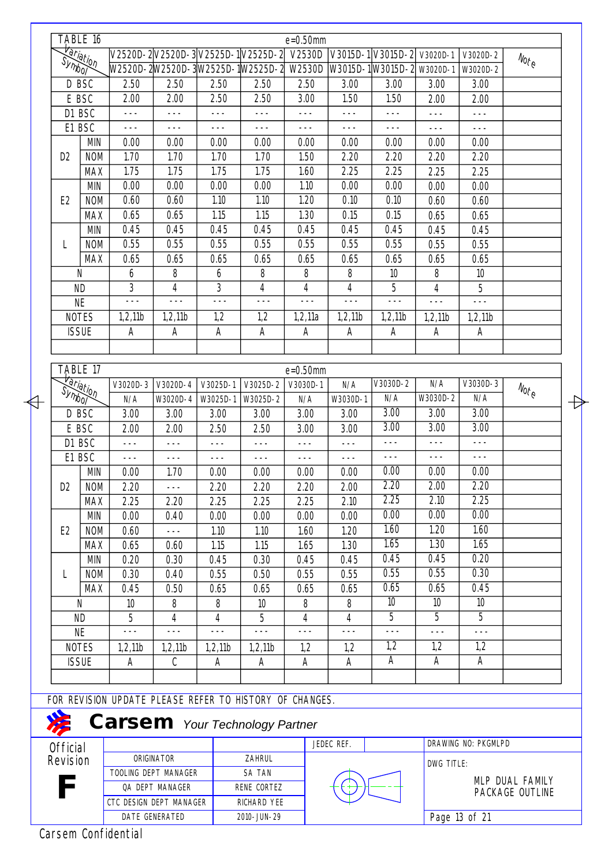| <del>Variation</del><br>D BSC |                      |                         |                      |          | V2520D-2V2520D-3V2525D-1V2525D-2                        | $e = 0.50$ mm<br>V2530D |            | V3015D-1 V3015D-2 V3020D-1 |                 |                     |                                                         |
|-------------------------------|----------------------|-------------------------|----------------------|----------|---------------------------------------------------------|-------------------------|------------|----------------------------|-----------------|---------------------|---------------------------------------------------------|
|                               |                      |                         |                      |          | W2520D-2W2520D-3W2525D-1W2525D-2                        | W2530D                  |            | W3015D-1W3015D-2 W3020D-1  |                 | $V3020D-2$          | $\mathcal{N}_{\mathcal{O}_{\mathcal{L}_{\mathcal{C}}}}$ |
|                               |                      |                         |                      |          |                                                         |                         |            |                            |                 | W3020D-2            |                                                         |
|                               |                      | 2.50                    | 2.50                 | 2.50     | 2.50                                                    | 2.50                    | 3.00       | 3.00                       | 3.00            | 3.00                |                                                         |
|                               | E BSC                | 2.00                    | 2.00                 | 2.50     | 2.50                                                    | 3.00                    | 1.50       | 1.50                       | 2.00            | 2.00                |                                                         |
|                               | D1 BSC               | $---$                   | $- - -$              | $- - -$  | $- - -$                                                 | $- - -$                 | $- - -$    | $---$                      | $- - -$         | $---$               |                                                         |
|                               | E1 BSC               | $- - -$                 | $- - -$              | $- - -$  | $- - -$                                                 | $- - -$                 | $- - -$    | $- - -$                    | $---$           | $---$               |                                                         |
|                               | <b>MIN</b>           | 0.00                    | 0.00                 | 0.00     | 0.00                                                    | 0.00                    | 0.00       | 0.00                       | 0.00            | 0.00                |                                                         |
| D <sub>2</sub>                | <b>NOM</b>           | 1.70                    | 1.70                 | 1.70     | 1.70                                                    | 1.50                    | 2.20       | 2.20                       | 2.20            | 2.20                |                                                         |
|                               | <b>MAX</b>           | 1.75                    | 1.75                 | 1.75     | 1.75                                                    | 1.60                    | 2.25       | 2.25                       | 2.25            | 2.25                |                                                         |
|                               | <b>MIN</b>           | 0.00                    | 0.00                 | 0.00     | 0.00                                                    | 1.10                    | 0.00       | 0.00                       | 0.00            | 0.00                |                                                         |
| E <sub>2</sub>                | <b>NOM</b>           | 0.60                    | 0.60                 | 1.10     | 1.10                                                    | 1.20                    | 0.10       | 0.10                       | 0.60            | 0.60                |                                                         |
|                               | <b>MAX</b>           | 0.65                    | 0.65                 | 1.15     | 1.15                                                    | 1.30                    | 0.15       | 0.15                       | 0.65            | 0.65                |                                                         |
|                               | <b>MIN</b>           | 0.45                    | 0.45                 | 0.45     | 0.45                                                    | 0.45                    | 0.45       | 0.45                       | 0.45            | 0.45                |                                                         |
| L                             | <b>NOM</b>           | 0.55                    | 0.55                 | 0.55     | 0.55                                                    | 0.55                    | 0.55       | 0.55                       | 0.55            | 0.55                |                                                         |
|                               | <b>MAX</b>           | 0.65                    | 0.65                 | 0.65     | 0.65                                                    | 0.65                    | 0.65       | 0.65                       | 0.65            | 0.65                |                                                         |
|                               | N                    | 6                       | 8                    | 6        | 8                                                       | 8                       | 8          | 10                         | 8               | 10                  |                                                         |
|                               | <b>ND</b>            | 3                       | 4                    | 3        | $\overline{4}$                                          | 4                       | 4          | 5                          | 4               | 5                   |                                                         |
|                               | <b>NE</b>            | $- - -$                 | $- - -$              | $- - -$  | $- - -$                                                 | $- - -$                 | $- - -$    | $- - -$                    | $- - -$         | $- - -$             |                                                         |
|                               | <b>NOTES</b>         | 1,2,11b                 | 1,2,11b              | 1,2      | 1,2                                                     | 1,2,11a                 | 1,2,11b    | 1,2,11b                    | 1,2,11b         | 1,2,11b             |                                                         |
|                               | <b>ISSUE</b>         | A                       | A                    | A        | А                                                       | A                       | A          | Α                          | Α               | A                   |                                                         |
|                               |                      |                         |                      |          |                                                         |                         |            |                            |                 |                     |                                                         |
|                               |                      |                         |                      |          |                                                         |                         |            |                            |                 |                     |                                                         |
|                               | TABLE 17             |                         |                      |          |                                                         | $e = 0.50$ mm           |            |                            |                 |                     |                                                         |
|                               | <del>Variation</del> | $V3020D-3$              | $V3020D - 4$         | V3025D-1 | V3025D-2                                                | V3030D-1                | N/A        | V3030D-2                   | N/A             | V3030D-3            | $N_{\text{O} \text{Fe}}$                                |
|                               |                      | N/A                     | W3020D-4             | W3025D-1 | W3025D-2                                                | N/A                     | W3030D-1   | N/A                        | W3030D-2        | N/A                 |                                                         |
|                               | D BSC                | 3.00                    | 3.00                 | 3.00     | 3.00                                                    | 3.00                    | 3.00       | $\overline{3.00}$          | 3.00            | 3.00                |                                                         |
|                               | E BSC                | 2.00                    | 2.00                 | 2.50     | 2.50                                                    | 3.00                    | 3.00       | 3.00                       | 3.00            | 3.00                |                                                         |
|                               | D1 BSC               | $- - -$                 | $- - -$              | $- - -$  | $- - -$                                                 | $- - -$                 | $---$      | $- - -$                    | $- - -$         | $- - -$             |                                                         |
|                               | E1 BSC               | $- - -$                 | $- - -$              | $- - -$  | $- - -$                                                 | $- - -$                 | $- - -$    | $- - -$                    | $- - -$         | $---$               |                                                         |
|                               | <b>MIN</b>           | 0.00                    | 1.70                 | 0.00     | 0.00                                                    | 0.00                    | 0.00       | 0.00                       | 0.00            | 0.00                |                                                         |
| D <sub>2</sub>                | <b>NOM</b>           | 2.20                    |                      | 2.20     | 2.20                                                    | 2.20                    | 2.00       | 2.20                       | 2.00            | 2.20                |                                                         |
|                               | <b>MAX</b>           | 2.25                    | 2.20                 | 2.25     | 2.25                                                    | 2.25                    | 2.10       | $\overline{2.25}$          | 2.10            | 2.25                |                                                         |
|                               | <b>MIN</b>           | 0.00                    | 0.40                 | 0.00     | 0.00                                                    | 0.00                    | 0.00       | 0.00                       | 0.00            | 0.00                |                                                         |
| E <sub>2</sub>                | <b>NOM</b>           | 0.60                    | $- - -$              | 1.10     | 1.10                                                    | 1.60                    | 1.20       | 1.60                       | 1.20            | 1.60                |                                                         |
|                               | <b>MAX</b>           | 0.65                    | 0.60                 | 1.15     | 1.15                                                    | 1.65                    | 1.30       | 1.65                       | 1.30            | 1.65                |                                                         |
|                               | <b>MIN</b>           | 0.20                    | 0.30                 | 0.45     | 0.30                                                    | 0.45                    | 0.45       | 0.45                       | 0.45            | 0.20                |                                                         |
| L                             | <b>NOM</b>           | 0.30                    | 0.40                 | 0.55     | 0.50                                                    | 0.55                    | 0.55       | 0.55                       | 0.55            | 0.30                |                                                         |
|                               | <b>MAX</b>           | 0.45                    | 0.50                 | 0.65     | 0.65                                                    | 0.65                    | 0.65       | 0.65                       | 0.65            | 0.45                |                                                         |
|                               | N                    | 10                      | 8                    | 8        | 10 <sup>10</sup>                                        | 8                       | 8          | 10                         | 10 <sup>°</sup> | 10 <sup>°</sup>     |                                                         |
|                               | <b>ND</b>            | 5                       | 4                    | 4        | 5                                                       | 4                       | 4          | 5                          | 5               | 5                   |                                                         |
|                               | <b>NE</b>            | $- - -$                 | $- - -$              | $- - -$  | $- - -$                                                 | $- - -$                 | $---$      | $- - -$                    | $- - -$         | $- - -$             |                                                         |
|                               | <b>NOTES</b>         | 1,2,11b                 | 1,2,11b              | 1,2,11b  | 1,2,11b                                                 | 1,2                     | 1,2        | 1,2                        | 1,2             | 1,2                 |                                                         |
|                               | <b>ISSUE</b>         |                         | C                    |          | A                                                       | А                       | A          | A                          | Α               | A                   |                                                         |
|                               |                      | A                       |                      | A        |                                                         |                         |            |                            |                 |                     |                                                         |
|                               |                      |                         |                      |          |                                                         |                         |            |                            |                 |                     |                                                         |
|                               |                      |                         |                      |          | FOR REVISION UPDATE PLEASE REFER TO HISTORY OF CHANGES. |                         |            |                            |                 |                     |                                                         |
|                               |                      |                         |                      |          | <b>Carsem</b> Your Technology Partner                   |                         |            |                            |                 |                     |                                                         |
|                               |                      |                         |                      |          |                                                         |                         | JEDEC REF. |                            |                 | DRAWING NO: PKGMLPD |                                                         |
|                               |                      |                         |                      |          | ZAHRUL                                                  |                         |            |                            |                 |                     |                                                         |
| <b>Official</b>               |                      |                         |                      |          |                                                         |                         |            |                            |                 |                     |                                                         |
| Revision                      |                      | ORIGINATOR              |                      |          |                                                         |                         |            |                            | DWG TITLE:      |                     |                                                         |
|                               |                      |                         | TOOLING DEPT MANAGER |          | SA TAN                                                  |                         |            |                            |                 |                     | MLP DUAL FAMILY                                         |
|                               |                      | CTC DESIGN DEPT MANAGER | QA DEPT MANAGER      |          | RENE CORTEZ<br>RICHARD YEE                              |                         |            |                            |                 |                     | PACKAGE OUTLINE                                         |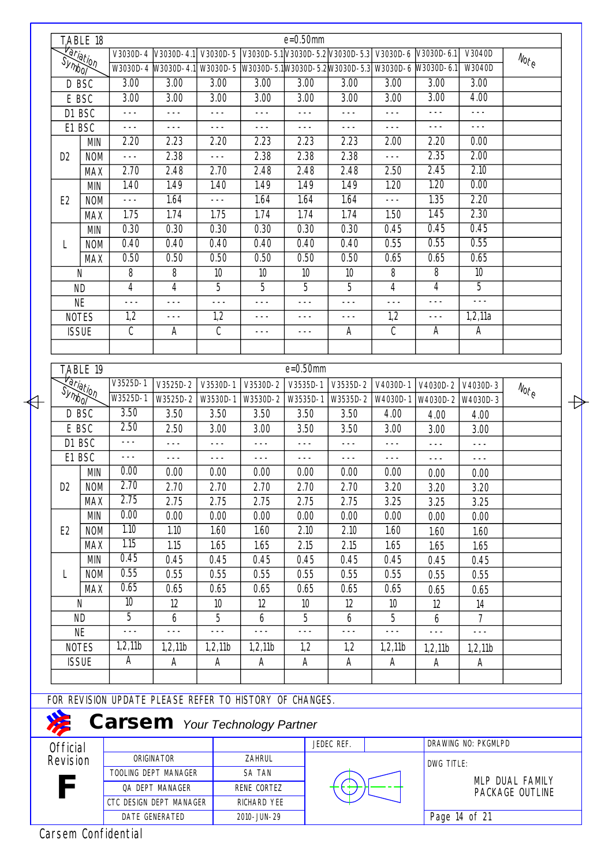|                                | TABLE 18                               |                                                         |                                                                                   |                 |             | $e = 0.50$ mm   |                                                      |          |                   |                     |                                  |
|--------------------------------|----------------------------------------|---------------------------------------------------------|-----------------------------------------------------------------------------------|-----------------|-------------|-----------------|------------------------------------------------------|----------|-------------------|---------------------|----------------------------------|
|                                | <del>Variation</del><br>Symbo <u>r</u> |                                                         | V3030D-4 V3030D-4.1                                                               | V3030D-5        |             |                 | V3030D-5.1 V3030D-5.2 V3030D-5.3 V3030D-6 V3030D-6.1 |          |                   | V3040D              | $N_{\text{O}t_{\text{C}}}$       |
|                                |                                        |                                                         | W3030D-4 W3030D-4.1 W3030D-5 W3030D-5.1 W3030D-5.2 W3030D-5.3 W3030D-6 W3030D-6.1 |                 |             |                 |                                                      |          |                   | W3040D              |                                  |
|                                | D BSC                                  | 3.00                                                    | 3.00                                                                              | 3.00            | 3.00        | 3.00            | 3.00                                                 | 3.00     | 3.00              | 3.00                |                                  |
|                                | E BSC                                  | 3.00                                                    | 3.00                                                                              | 3.00            | 3.00        | 3.00            | $\overline{3.00}$                                    | 3.00     | 3.00              | 4.00                |                                  |
|                                | D1 BSC                                 | $--$                                                    | $-- -$                                                                            | $- - -$         | $---$       | $- - -$         | $---$                                                | $--$     | $---$             | $-- -$              |                                  |
|                                | E1 BSC                                 | $---$                                                   | $---$                                                                             | $- - -$         | $- - -$     | $---$           | $---$                                                | $---$    | $---$             | $---$               |                                  |
|                                | <b>MIN</b>                             | 2.20                                                    | 2.23                                                                              | 2.20            | 2.23        | 2.23            | 2.23                                                 | 2.00     | 2.20              | 0.00                |                                  |
| D <sub>2</sub>                 | <b>NOM</b>                             | $--$                                                    | 2.38                                                                              | $- - -$         | 2.38        | 2.38            | 2.38                                                 | $---$    | 2.35              | 2.00                |                                  |
|                                | <b>MAX</b>                             | 2.70                                                    | 2.48                                                                              | 2.70            | 2.48        | 2.48            | 2.48                                                 | 2.50     | 2.45              | 2.10                |                                  |
|                                | <b>MIN</b>                             | 1.40                                                    | 1.49                                                                              | 1.40            | 1.49        | 1.49            | 1.49                                                 | 1.20     | 1.20              | 0.00                |                                  |
| E <sub>2</sub>                 | <b>NOM</b>                             | $- - -$                                                 | 1.64                                                                              | $- - -$         | 1.64        | 1.64            | 1.64                                                 | $- - -$  | 1.35              | 2.20                |                                  |
|                                | <b>MAX</b>                             | 1.75                                                    | 1.74                                                                              | 1.75            | 1.74        | 1.74            | 1.74                                                 | 1.50     | 1.45              | 2.30                |                                  |
|                                | <b>MIN</b>                             | 0.30                                                    | 0.30                                                                              | 0.30            | 0.30        | 0.30            | 0.30                                                 | 0.45     | 0.45              | 0.45                |                                  |
| L                              | <b>NOM</b>                             | 0.40                                                    | 0.40                                                                              | 0.40            | 0.40        | 0.40            | 0.40                                                 | 0.55     | 0.55              | 0.55                |                                  |
|                                | <b>MAX</b>                             | 0.50                                                    | 0.50                                                                              | 0.50            | 0.50        | 0.50            | 0.50                                                 | 0.65     | 0.65              | 0.65                |                                  |
|                                | N                                      | 8                                                       | 8                                                                                 | 10              | 10          | 10              | 10                                                   | 8        | 8                 | 10                  |                                  |
|                                | <b>ND</b>                              | 4                                                       | 4                                                                                 | 5               | 5           | 5               | 5                                                    | 4        | 4                 | 5                   |                                  |
|                                | <b>NE</b>                              | $- - -$                                                 | $- - -$                                                                           | $- - -$         | $- - -$     | $---$           | $- - -$                                              | $- - -$  | $- - -$           | $- - -$             |                                  |
|                                | <b>NOTES</b>                           | 1,2                                                     | $---$                                                                             | 1,2             | $- - -$     | $- - -$         | $- - -$                                              | 1,2      | $---$             | 1,2,11a             |                                  |
|                                | <b>ISSUE</b>                           | $\mathcal{C}$                                           | A                                                                                 | C               | $---$       | $---$           | A                                                    | C        | A                 | $\overline{A}$      |                                  |
|                                |                                        |                                                         |                                                                                   |                 |             |                 |                                                      |          |                   |                     |                                  |
|                                | TABLE 19                               |                                                         |                                                                                   |                 |             | $e = 0.50$ mm   |                                                      |          |                   |                     |                                  |
|                                | <b>Hariation</b>                       | V3525D-1                                                | V3525D-2                                                                          | V3530D-1        | V3530D-2    | V3535D-1        | V3535D-2                                             | V4030D-1 | V4030D-2          | V4030D-3            | $N_{\text{O} \text{f}_\text{C}}$ |
| Symbol                         |                                        | W3525D-1                                                | W3525D-2                                                                          | W3530D-1        | W3530D-2    | W3535D-1        | W3535D-2                                             | W4030D-1 | W4030D-2 W4030D-3 |                     |                                  |
|                                | D BSC                                  | 3.50                                                    | 3.50                                                                              | 3.50            | 3.50        | 3.50            | 3.50                                                 | 4.00     | 4.00              | 4.00                |                                  |
|                                | E BSC                                  | 2.50                                                    | 2.50                                                                              | 3.00            | 3.00        | 3.50            | 3.50                                                 | 3.00     | 3.00              | 3.00                |                                  |
|                                | D1 BSC                                 | $- - -$                                                 | $- - -$                                                                           | $- - -$         | $- - -$     | $- - -$         | $---$                                                | $- - -$  | $- - -$           | $- - -$             |                                  |
|                                | E1 BSC                                 | $- - -$                                                 | $---$                                                                             | $- - -$         | $---$       | $- - -$         | $---$                                                | $---$    | $---$             | $- - -$             |                                  |
|                                | <b>MIN</b>                             | 0.00                                                    | 0.00                                                                              | 0.00            | 0.00        | 0.00            | 0.00                                                 | 0.00     | 0.00              | 0.00                |                                  |
| D <sub>2</sub>                 | <b>NOM</b>                             | 2.70                                                    | 2.70                                                                              | 2.70            | 2.70        | 2.70            | 2.70                                                 | 3.20     | 3.20              | 3.20                |                                  |
|                                | <b>MAX</b>                             | 2.75                                                    | 2.75                                                                              | 2.75            | 2.75        | 2.75            | 2.75                                                 | 3.25     | 3.25              | 3.25                |                                  |
|                                | <b>MIN</b>                             | 0.00                                                    | 0.00                                                                              | 0.00            | 0.00        | 0.00            | 0.00                                                 | 0.00     | 0.00              | 0.00                |                                  |
| E <sub>2</sub>                 | <b>NOM</b>                             | 1.10                                                    | 1.10                                                                              | 1.60            | 1.60        | 2.10            | 2.10                                                 | 1.60     | 1.60              | 1.60                |                                  |
|                                | <b>MAX</b>                             | 1.15                                                    | 1.15                                                                              | 1.65            | 1.65        | 2.15            | 2.15                                                 | 1.65     | 1.65              | 1.65                |                                  |
|                                | <b>MIN</b>                             | 0.45                                                    | 0.45                                                                              | 0.45            | 0.45        | 0.45            | 0.45                                                 | 0.45     | 0.45              | 0.45                |                                  |
| L                              | <b>NOM</b>                             | 0.55                                                    | 0.55                                                                              | 0.55            | 0.55        | 0.55            | 0.55                                                 | 0.55     | 0.55              | 0.55                |                                  |
|                                | <b>MAX</b>                             | 0.65                                                    | 0.65                                                                              | 0.65            | 0.65        | 0.65            | 0.65                                                 | 0.65     | 0.65              | 0.65                |                                  |
|                                | N                                      | 10                                                      | 12                                                                                | 10 <sup>°</sup> | 12          | 10 <sup>°</sup> | 12                                                   | 10       | 12                | 14                  |                                  |
|                                | <b>ND</b>                              | $\overline{5}$                                          | 6                                                                                 | 5               | 6           | 5               | 6                                                    | 5        | 6                 | $\overline{7}$      |                                  |
|                                | <b>NE</b>                              | $- - -$                                                 | $-- -$                                                                            | $- - -$         | $- - -$     | $---$           | ---                                                  | $--$     | $---$             | $---$               |                                  |
|                                | <b>NOTES</b>                           | 1,2,11b                                                 | 1,2,11b                                                                           | 1,2,11b         | 1,2,11b     | 1,2             | 1,2                                                  | 1,2,11b  | 1,2,11b           | 1,2,11b             |                                  |
|                                | <b>ISSUE</b>                           | A                                                       | Α                                                                                 | Α               | Α           | Α               | Α                                                    | A        | A                 | A                   |                                  |
|                                |                                        |                                                         |                                                                                   |                 |             |                 |                                                      |          |                   |                     |                                  |
|                                |                                        | FOR REVISION UPDATE PLEASE REFER TO HISTORY OF CHANGES. |                                                                                   |                 |             |                 |                                                      |          |                   |                     |                                  |
|                                |                                        |                                                         |                                                                                   |                 |             |                 |                                                      |          |                   |                     |                                  |
|                                |                                        | <b>Carsem</b> Your Technology Partner                   |                                                                                   |                 |             |                 |                                                      |          |                   |                     |                                  |
| <b>Official</b><br>Revision    |                                        |                                                         | ORIGINATOR                                                                        |                 | ZAHRUL      |                 | JEDEC REF.                                           |          |                   | DRAWING NO: PKGMLPD |                                  |
|                                |                                        |                                                         | TOOLING DEPT MANAGER                                                              |                 | SA TAN      |                 |                                                      |          | DWG TITLE:        |                     |                                  |
|                                |                                        |                                                         |                                                                                   |                 |             |                 |                                                      |          |                   |                     | MLP DUAL FAMILY                  |
| QA DEPT MANAGER<br>RENE CORTEZ |                                        |                                                         |                                                                                   |                 |             |                 |                                                      |          | PACKAGE OUTLINE   |                     |                                  |
|                                |                                        | CTC DESIGN DEPT MANAGER                                 |                                                                                   |                 | RICHARD YEE |                 |                                                      |          |                   |                     |                                  |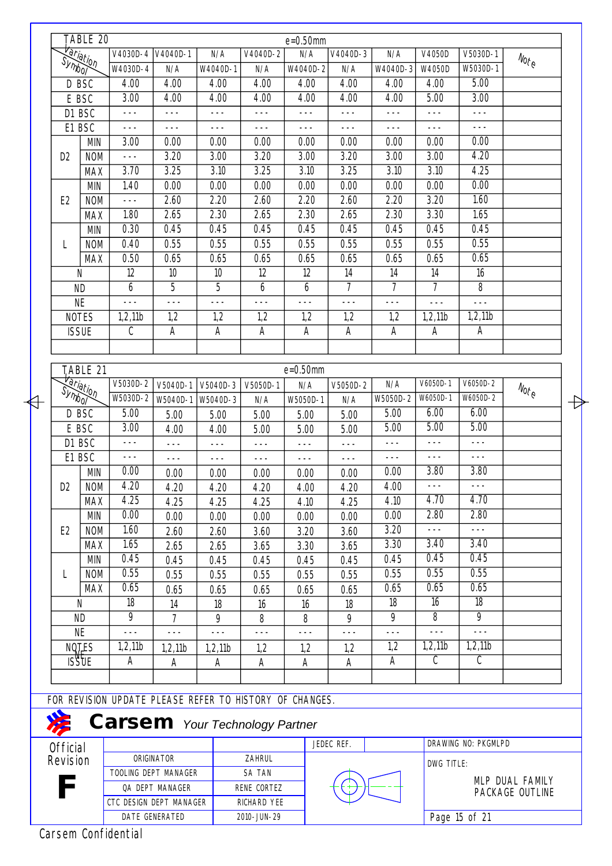|                 | TABLE 20                               |            |                  |                         |                                                         |             | $e = 0.50$ mm |            |                |                           |                           |                                                         |
|-----------------|----------------------------------------|------------|------------------|-------------------------|---------------------------------------------------------|-------------|---------------|------------|----------------|---------------------------|---------------------------|---------------------------------------------------------|
|                 | <del>Variation</del><br>Symbo <u>r</u> |            | $V4030D - 4$     | V4040D-1                | N/A                                                     | V4040D-2    | N/A           | V4040D-3   | N/A            | V4050D                    | V5030D-1                  |                                                         |
|                 |                                        |            | W4030D-4         | N/A                     | W4040D-1                                                | N/A         | W4040D-2      | N/A        | W4040D-3       | W4050D                    | W5030D-1                  | $\mathcal{N}_{\text{O} \text{f}_\text{C}}$              |
|                 | D BSC                                  |            | 4.00             | 4.00                    | 4.00                                                    | 4.00        | 4.00          | 4.00       | 4.00           | 4.00                      | 5.00                      |                                                         |
|                 | E BSC                                  |            | 3.00             | 4.00                    | 4.00                                                    | 4.00        | 4.00          | 4.00       | 4.00           | 5.00                      | 3.00                      |                                                         |
|                 | D1 BSC                                 |            | $- - -$          | $- - -$                 | $- - -$                                                 | $- - -$     | $- - -$       | $- - -$    | $- - -$        | $- - -$                   | $- - -$                   |                                                         |
|                 | E1 BSC                                 |            | $- - -$          | $- - -$                 | $- - -$                                                 | $- - -$     | $- - -$       | $- - -$    | $---$          | $- - -$                   | $- - -$                   |                                                         |
|                 |                                        | <b>MIN</b> | 3.00             | 0.00                    | 0.00                                                    | 0.00        | 0.00          | 0.00       | 0.00           | 0.00                      | 0.00                      |                                                         |
| D <sub>2</sub>  |                                        | <b>NOM</b> | $---$            | 3.20                    | 3.00                                                    | 3.20        | 3.00          | 3.20       | 3.00           | 3.00                      | 4.20                      |                                                         |
|                 |                                        | <b>MAX</b> | 3.70             | 3.25                    | 3.10                                                    | 3.25        | 3.10          | 3.25       | 3.10           | 3.10                      | 4.25                      |                                                         |
|                 |                                        | <b>MIN</b> | 1.40             | 0.00                    | 0.00                                                    | 0.00        | 0.00          | 0.00       | 0.00           | 0.00                      | 0.00                      |                                                         |
| E <sub>2</sub>  |                                        | <b>NOM</b> | $- - -$          | 2.60                    | 2.20                                                    | 2.60        | 2.20          | 2.60       | 2.20           | 3.20                      | 1.60                      |                                                         |
|                 |                                        | <b>MAX</b> | 1.80             | 2.65                    | 2.30                                                    | 2.65        | 2.30          | 2.65       | 2.30           | 3.30                      | 1.65                      |                                                         |
|                 |                                        | <b>MIN</b> | 0.30             | 0.45                    | 0.45                                                    | 0.45        | 0.45          | 0.45       | 0.45           | 0.45                      | 0.45                      |                                                         |
| L               |                                        | <b>NOM</b> | 0.40             | 0.55                    | 0.55                                                    | 0.55        | 0.55          | 0.55       | 0.55           | 0.55                      | 0.55                      |                                                         |
|                 |                                        | <b>MAX</b> | 0.50             | 0.65                    | 0.65                                                    | 0.65        | 0.65          | 0.65       | 0.65           | 0.65                      | 0.65                      |                                                         |
|                 | Ν                                      |            | 12               | 10                      | 10                                                      | 12          | 12            | 14         | 14             | 14                        | 16                        |                                                         |
|                 | <b>ND</b>                              |            | 6                | 5                       | 5                                                       | 6           | 6             | 7          | $\overline{7}$ | 7                         | 8                         |                                                         |
|                 | <b>NE</b>                              |            | $ -$             | $ -$                    | $ -$                                                    | $ -$        | $ -$          | $- - -$    | $- - -$        | $- - -$                   | $- - -$                   |                                                         |
|                 | <b>NOTES</b>                           |            | 1,2,11b          | 1,2                     | 1,2                                                     | 1,2         | 1,2           | 1,2        | 1,2            | 1,2,11b                   | 1,2,11b                   |                                                         |
|                 | <b>ISSUE</b>                           |            | $\mathcal{C}$    | A                       | $\mathsf{A}$                                            | A           | A             | A          | Α              | A                         | A                         |                                                         |
|                 |                                        |            |                  |                         |                                                         |             |               |            |                |                           |                           |                                                         |
|                 |                                        |            |                  |                         |                                                         |             |               |            |                |                           |                           |                                                         |
|                 | TABLE 21                               |            |                  |                         |                                                         |             | $e = 0.50$ mm |            |                |                           |                           |                                                         |
|                 |                                        |            | $V5030D-2$       | V5040D-1                | V5040D-3                                                | V5050D-1    | N/A           | V5050D-2   | N/A            | V6050D-1                  | V6050D-2                  | $\mathcal{N}_{\mathcal{O}_{\mathcal{L}_{\mathcal{C}}}}$ |
|                 | <del>Variation</del>                   |            | W5030D-2         | W5040D-1                | W5040D-3                                                | N/A         | W5050D-1      | N/A        | W5050D-2       | W6050D-1                  | $W6050D-2$                |                                                         |
|                 | D BSC                                  |            | 5.00             | 5.00                    | 5.00                                                    | 5.00        | 5.00          | 5.00       | 5.00           | 6.00                      | 6.00                      |                                                         |
|                 | E BSC                                  |            | 3.00             | 4.00                    | 4.00                                                    | 5.00        | 5.00          | 5.00       | 5.00           | 5.00                      | 5.00                      |                                                         |
|                 | D1 BSC                                 |            | $---$            | $- - -$                 | $- - -$                                                 | $- - -$     | $- - -$       | $- - -$    | $- - -$        | $- - -$                   | $- - -$                   |                                                         |
|                 | E1 BSC                                 |            | $- - -$          | $- - -$                 | ---                                                     | $---$       | $---$         | $---$      | $---$          | $- - -$                   | $- - -$                   |                                                         |
|                 |                                        | <b>MIN</b> | 0.00             | 0.00                    | 0.00                                                    | 0.00        | 0.00          | 0.00       | 0.00           | 3.80                      | 3.80                      |                                                         |
| D <sub>2</sub>  |                                        | <b>NOM</b> | 4.20             | 4.20                    | 4.20                                                    | 4.20        | 4.00          | 4.20       | 4.00           |                           |                           |                                                         |
|                 |                                        | <b>MAX</b> | 4.25             | 4.25                    | 4.25                                                    | 4.25        | 4.10          | 4.25       | 4.10           | 4.70                      | 4.70                      |                                                         |
|                 |                                        | <b>MIN</b> | 0.00             | 0.00                    | 0.00                                                    | 0.00        | 0.00          | 0.00       | 0.00           | 2.80                      | 2.80                      |                                                         |
| E <sub>2</sub>  |                                        | <b>NOM</b> | 1.60             | 2.60                    | 2.60                                                    | 3.60        | 3.20          | 3.60       | 3.20           | $- - -$<br>3.40           | $- - -$<br>3.40           |                                                         |
|                 |                                        | <b>MAX</b> | 1.65             | 2.65                    | 2.65                                                    | 3.65        | 3.30          | 3.65       | 3.30           |                           |                           |                                                         |
|                 |                                        | <b>MIN</b> | 0.45             | 0.45                    | 0.45                                                    | 0.45        | 0.45          | 0.45       | 0.45           | 0.45                      | 0.45                      |                                                         |
| L               |                                        | <b>NOM</b> | 0.55             | 0.55                    | 0.55                                                    | 0.55        | 0.55          | 0.55       | 0.55           | 0.55                      | 0.55                      |                                                         |
|                 |                                        | <b>MAX</b> | 0.65<br>18       | 0.65                    | 0.65                                                    | 0.65        | 0.65          | 0.65       | 0.65           | 0.65<br>16                | 0.65<br>18                |                                                         |
|                 | N                                      |            | $\overline{9}$   | 14                      | 18                                                      | 16          | 16            | 18         | 18<br>9        | $\overline{8}$            | $\overline{9}$            |                                                         |
|                 | <b>ND</b>                              |            |                  | 7                       | 9                                                       | 8           | 8             | 9          |                | $- - -$                   | $- - -$                   |                                                         |
|                 | <b>NE</b>                              |            | $---$<br>1,2,11b | $- - -$                 | $---$                                                   | $- - -$     | $---$         | $--$       | $- - -$<br>1,2 | 1,2,11b                   | 1,2,11b                   |                                                         |
|                 | NOTES<br>ISSUE                         |            | Α                | 1,2,11b                 | 1,2,11b                                                 | 1,2         | 1,2           | 1,2        | A              | $\overline{\mathfrak{c}}$ | $\overline{\mathfrak{c}}$ |                                                         |
|                 |                                        |            |                  | Α                       | Α                                                       | A           | Α             | A          |                |                           |                           |                                                         |
|                 |                                        |            |                  |                         |                                                         |             |               |            |                |                           |                           |                                                         |
|                 |                                        |            |                  |                         | FOR REVISION UPDATE PLEASE REFER TO HISTORY OF CHANGES. |             |               |            |                |                           |                           |                                                         |
|                 |                                        |            |                  |                         | <b>Carsem</b> Your Technology Partner                   |             |               |            |                |                           |                           |                                                         |
| <b>Official</b> |                                        |            |                  |                         |                                                         |             |               | JEDEC REF. |                |                           | DRAWING NO: PKGMLPD       |                                                         |
|                 | Revision                               |            |                  | ORIGINATOR              |                                                         | ZAHRUL      |               |            |                |                           |                           |                                                         |
|                 |                                        |            |                  | TOOLING DEPT MANAGER    |                                                         | SA TAN      |               |            |                | DWG TITLE:                |                           |                                                         |
|                 |                                        |            |                  | QA DEPT MANAGER         |                                                         | RENE CORTEZ |               |            |                |                           |                           | MLP DUAL FAMILY                                         |
|                 |                                        |            |                  | CTC DESIGN DEPT MANAGER |                                                         | RICHARD YEE |               |            |                |                           |                           | PACKAGE OUTLINE                                         |
|                 |                                        |            |                  | DATE GENERATED          |                                                         | 2010-JUN-29 |               |            |                |                           | Page 15 of 21             |                                                         |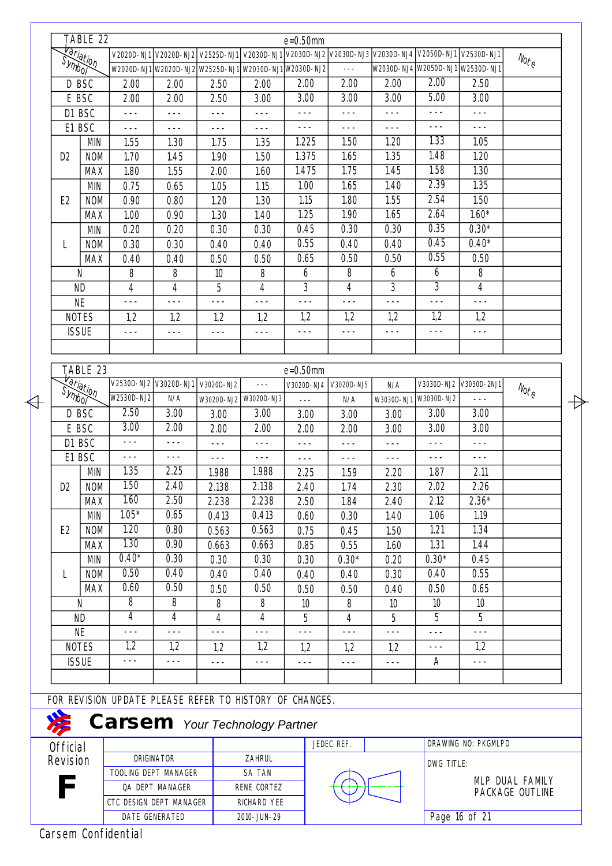|                 | TABLE 22                |                                                         |                 |                 |                                                                                                    | $e = 0.50$ mm           |            |            |                                  |                        |                                                             |
|-----------------|-------------------------|---------------------------------------------------------|-----------------|-----------------|----------------------------------------------------------------------------------------------------|-------------------------|------------|------------|----------------------------------|------------------------|-------------------------------------------------------------|
|                 | Hariation               |                                                         |                 |                 | V2020D-NJ1 V2020D-NJ2 V2525D-NJ1 V2030D-NJ1 V2030D-NJ2 V2030D-NJ3 V2030D-NJ4 V2050D-NJ1 V2530D-NJ1 |                         |            |            |                                  |                        | $N_{\text{O} \text{r}_\text{C}}$                            |
|                 |                         |                                                         |                 |                 | W2020D-NJ1 W2020D-NJ2 W2525D-NJ1 W2030D-NJ1 W2030D-NJ2                                             |                         | $- - -$    |            | W2030D-NJ4 W2050D-NJ1 W2530D-NJ1 |                        |                                                             |
|                 | D BSC                   | 2.00                                                    | 2.00            | 2.50            | 2.00                                                                                               | 2.00                    | 2.00       | 2.00       | 2.00                             | 2.50                   |                                                             |
|                 | E BSC                   | 2.00                                                    | 2.00            | 2.50            | 3.00                                                                                               | 3.00                    | 3.00       | 3.00       | 5.00                             | 3.00                   |                                                             |
|                 | D1 BSC                  | ---                                                     | $---$           | $---$           | $- - -$                                                                                            | $- - -$                 | $- - -$    | $- - -$    | $---$                            | $---$                  |                                                             |
|                 | E1 BSC                  | $  -$                                                   | $- - -$         | $- - -$         | $- - -$                                                                                            | $- - -$                 | $- - -$    | $- - -$    | $---$                            | $- - -$                |                                                             |
|                 | <b>MIN</b>              | 1.55                                                    | 1.30            | 1.75            | 1.35                                                                                               | 1.225                   | 1.50       | 1.20       | 1.33                             | 1.05                   |                                                             |
| D <sub>2</sub>  | <b>NOM</b>              | 1.70                                                    | 1.45            | 1.90            | 1.50                                                                                               | 1.375                   | 1.65       | 1.35       | 1.48                             | 1.20                   |                                                             |
|                 | <b>MAX</b>              | 1.80                                                    | 1.55            | 2.00            | 1.60                                                                                               | 1.475                   | 1.75       | 1.45       | 1.58                             | 1.30                   |                                                             |
|                 | <b>MIN</b>              | 0.75                                                    | 0.65            | 1.05            | 1.15                                                                                               | 1.00                    | 1.65       | 1.40       | 2.39                             | 1.35                   |                                                             |
| E <sub>2</sub>  | <b>NOM</b>              | 0.90                                                    | 0.80            | 1.20            | 1.30                                                                                               | 1.15                    | 1.80       | 1.55       | 2.54                             | 1.50                   |                                                             |
|                 | <b>MAX</b>              | 1.00                                                    | 0.90            | 1.30            | 1.40                                                                                               | 1.25                    | 1.90       | 1.65       | 2.64                             | $1.60*$                |                                                             |
|                 | <b>MIN</b>              | 0.20                                                    | 0.20            | 0.30            | 0.30                                                                                               | 0.45                    | 0.30       | 0.30       | 0.35                             | $0.30*$                |                                                             |
|                 |                         |                                                         |                 |                 |                                                                                                    | 0.55                    |            |            | 0.45                             | $0.40*$                |                                                             |
| L               | <b>NOM</b>              | 0.30                                                    | 0.30            | 0.40            | 0.40                                                                                               |                         | 0.40       | 0.40       |                                  |                        |                                                             |
|                 | <b>MAX</b>              | 0.40                                                    | 0.40            | 0.50            | 0.50                                                                                               | 0.65                    | 0.50       | 0.50       | 0.55                             | 0.50                   |                                                             |
|                 | N                       | 8                                                       | 8               | 10 <sup>°</sup> | 8                                                                                                  | 6                       | 8          | 6          | 6                                | 8                      |                                                             |
|                 | <b>ND</b>               | 4                                                       | 4               | 5               | 4                                                                                                  | 3                       | 4          | 3          | $\overline{3}$                   | $\overline{4}$         |                                                             |
|                 | <b>NE</b>               | $- - -$                                                 | $- - -$         | $- - -$         | $- - -$                                                                                            | $- - -$                 | $---$      | $- - -$    | $- - -$                          | $---$                  |                                                             |
|                 | <b>NOTES</b>            | 1,2                                                     | 1,2             | 1,2             | 1,2                                                                                                | 1,2                     | 1,2        | 1,2        | 1,2                              | 1,2                    |                                                             |
|                 | <b>ISSUE</b>            | $---$                                                   | $---$           | ---             | $- - -$                                                                                            | $---$                   | $- - -$    | $- - -$    | $---$                            | $- - -$                |                                                             |
|                 |                         |                                                         |                 |                 |                                                                                                    |                         |            |            |                                  |                        |                                                             |
|                 | T,ABLE 23               |                                                         |                 |                 |                                                                                                    | $e = 0.50$ mm           |            |            |                                  |                        |                                                             |
|                 | <b><i>Variation</i></b> | V2530D-NJ2 V3020D-NJ1                                   |                 | V3020D-NJ2      | $\sim$ $\sim$ $\sim$                                                                               | V3020D-NJ4              | V3020D-NJ5 | N/A        |                                  | V3030D-NJ2 V3030D-2NJ1 |                                                             |
|                 |                         | W2530D-NJ2                                              | N/A             | W3020D-NJ2      | W3020D-NJ3                                                                                         | $\perp$ $\perp$ $\perp$ | N/A        | W3030D-NJ1 | W3030D-NJ2                       | $- - -$                | $\mathcal{N}_{\mathcal{O}_{\vec{\mathcal{L}}_\mathcal{C}}}$ |
|                 | D BSC                   | 2.50                                                    | 3.00            | 3.00            | 3.00                                                                                               | 3.00                    | 3.00       | 3.00       | 3.00                             | 3.00                   |                                                             |
|                 |                         | 3.00                                                    | 2.00            |                 | 2.00                                                                                               |                         |            |            | 3.00                             | 3.00                   |                                                             |
|                 | E BSC                   | $- - -$                                                 |                 | 2.00            |                                                                                                    | 2.00                    | 2.00       | 3.00       |                                  |                        |                                                             |
|                 | D1 BSC                  |                                                         | $- - -$         | $- - -$         | $--$                                                                                               | $- - -$                 | $- - -$    | $---$      | $---$                            | $---$                  |                                                             |
|                 | E1 BSC                  | $- - -$                                                 | $- - -$         | $- - -$         | $- - -$                                                                                            | $- - -$                 | $- - -$    | $- - -$    | $- - -$                          | $- - -$                |                                                             |
|                 | <b>MIN</b>              | 1.35                                                    | 2.25            | 1.988           | 1.988                                                                                              | 2.25                    | 1.59       | 2.20       | 1.87                             | 2.11                   |                                                             |
| D <sub>2</sub>  | <b>NOM</b>              | 1.50                                                    | 2.40            | 2.138           | 2.138                                                                                              | 2.40                    | 1.74       | 2.30       | 2.02                             | 2.26                   |                                                             |
|                 | <b>MAX</b>              | 1.60                                                    | 2.50            | 2.238           | 2.238                                                                                              | 2.50                    | 1.84       | 2.40       | 2.12                             | $2.36*$                |                                                             |
|                 | <b>MIN</b>              | $1.05*$                                                 | 0.65            | 0.413           | 0.413                                                                                              | 0.60                    | 0.30       | 1.40       | 1.06                             | 1.19                   |                                                             |
| E <sub>2</sub>  | <b>NOM</b>              | 1.20                                                    | 0.80            | 0.563           | 0.563                                                                                              | 0.75                    | 0.45       | 1.50       | 1.21                             | 1.34                   |                                                             |
|                 | <b>MAX</b>              | 1.30                                                    | 0.90            | 0.663           | 0.663                                                                                              | 0.85                    | 0.55       | 1.60       | 1.31                             | 1.44                   |                                                             |
|                 | <b>MIN</b>              | $0.40*$                                                 | 0.30            | 0.30            | 0.30                                                                                               | 0.30                    | $0.30*$    | 0.20       | $0.30*$                          | 0.45                   |                                                             |
| L               | <b>NOM</b>              | 0.50                                                    | 0.40            | 0.40            | 0.40                                                                                               | 0.40                    | 0.40       | 0.30       | 0.40                             | 0.55                   |                                                             |
|                 | <b>MAX</b>              | 0.60                                                    | 0.50            | 0.50            | 0.50                                                                                               | 0.50                    | 0.50       | 0.40       | 0.50                             | 0.65                   |                                                             |
|                 | N                       | 8                                                       | 8               | 8               | 8                                                                                                  | 10                      | 8          | 10         | 10 <sup>°</sup>                  | 10                     |                                                             |
|                 | <b>ND</b>               | 4                                                       | 4               | 4               | 4                                                                                                  | 5                       | 4          | 5          | 5                                | 5                      |                                                             |
|                 | <b>NE</b>               | $---$                                                   | $- - -$         | $---$           | $- - -$                                                                                            | $---$                   | $---$      | $---$      | $---$                            | $- - -$                |                                                             |
|                 | <b>NOTES</b>            | 1,2                                                     | 1,2             | 1,2             | 1,2                                                                                                | 1,2                     | 1,2        | 1,2        | $- - -$                          | 1,2                    |                                                             |
|                 | <b>ISSUE</b>            | $---$                                                   | $- - -$         | $- - -$         | ---                                                                                                |                         |            |            | A                                | ---                    |                                                             |
|                 |                         |                                                         |                 |                 |                                                                                                    | $---$                   | $---$      | $---$      |                                  |                        |                                                             |
|                 |                         |                                                         |                 |                 |                                                                                                    |                         |            |            |                                  |                        |                                                             |
|                 |                         | FOR REVISION UPDATE PLEASE REFER TO HISTORY OF CHANGES. |                 |                 |                                                                                                    |                         |            |            |                                  |                        |                                                             |
|                 |                         | <b>Carsem</b> Your Technology Partner                   |                 |                 |                                                                                                    |                         |            |            |                                  |                        |                                                             |
| <b>Official</b> |                         |                                                         |                 |                 |                                                                                                    |                         | JEDEC REF. |            |                                  | DRAWING NO: PKGMLPD    |                                                             |
| Revision        |                         |                                                         | ORIGINATOR      |                 | ZAHRUL                                                                                             |                         |            |            |                                  |                        |                                                             |
|                 |                         | TOOLING DEPT MANAGER                                    |                 |                 | SA TAN                                                                                             |                         |            |            | DWG TITLE:                       |                        |                                                             |
|                 |                         |                                                         | QA DEPT MANAGER |                 | RENE CORTEZ                                                                                        |                         |            |            |                                  |                        | MLP DUAL FAMILY                                             |
|                 |                         | CTC DESIGN DEPT MANAGER                                 |                 |                 | RICHARD YEE                                                                                        |                         |            |            |                                  |                        | PACKAGE OUTLINE                                             |
|                 |                         |                                                         | DATE GENERATED  |                 | 2010-JUN-29                                                                                        |                         |            |            |                                  | Page 16 of 21          |                                                             |
|                 |                         |                                                         |                 |                 |                                                                                                    |                         |            |            |                                  |                        |                                                             |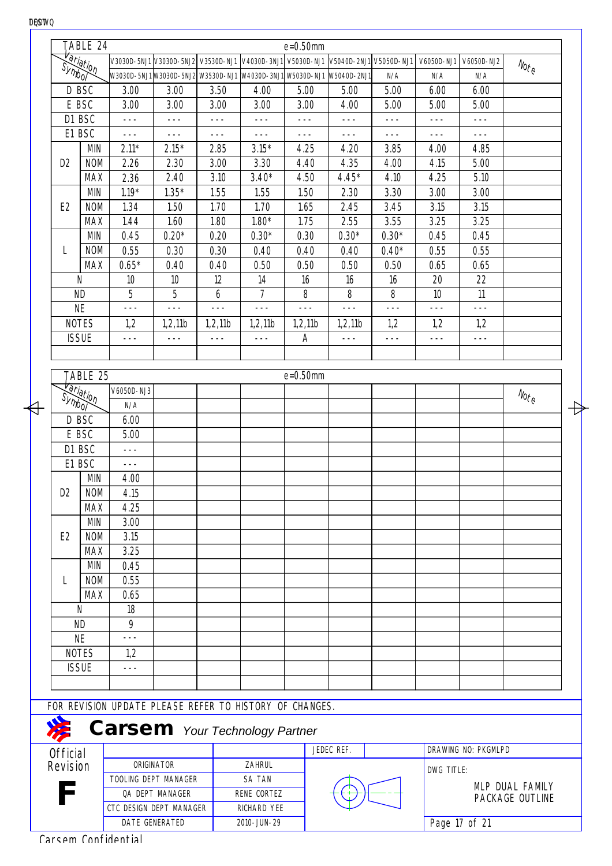|                      | TABLE 24         |                 |                                                |         |                                                         | $e = 0.50$ mm |                        |         |            |            |                                  |
|----------------------|------------------|-----------------|------------------------------------------------|---------|---------------------------------------------------------|---------------|------------------------|---------|------------|------------|----------------------------------|
| <del>Variation</del> |                  |                 | V3030D-5NJ1 V3030D-5NJ2 V3530D-NJ1 V4030D-3NJ1 |         |                                                         | V5030D-NJ1    | V5040D-2NJ1 V5050D-NJ1 |         | V6050D-NJ1 | V6050D-NJ2 | $N_{\text{O} \gamma_{\text{C}}}$ |
|                      |                  |                 |                                                |         | W3030D-5NJ1W3030D-5NJ2W3530D-NJ1W4030D-3NJ1W5030D-NJ1   |               | W5040D-2NJ1            | N/A     | N/A        | N/A        |                                  |
| D BSC                |                  | 3.00            | 3.00                                           | 3.50    | 4.00                                                    | 5.00          | 5.00                   | 5.00    | 6.00       | 6.00       |                                  |
| E BSC                |                  | 3.00            | 3.00                                           | 3.00    | 3.00                                                    | 3.00          | 4.00                   | 5.00    | 5.00       | 5.00       |                                  |
| D1 BSC               |                  | $---$           | $- - -$                                        | $- - -$ | $  -$                                                   | $- - -$       | $- - -$                | $- - -$ | $---$      | $- - -$    |                                  |
| E1 BSC               |                  | ---             | $- - -$                                        | $---$   | $- - -$                                                 | $---$         | $--$                   | $---$   | $---$      | $---$      |                                  |
|                      | <b>MIN</b>       | $2.11*$         | $2.15*$                                        | 2.85    | $3.15*$                                                 | 4.25          | 4.20                   | 3.85    | 4.00       | 4.85       |                                  |
| D <sub>2</sub>       | <b>NOM</b>       | 2.26            | 2.30                                           | 3.00    | 3.30                                                    | 4.40          | 4.35                   | 4.00    | 4.15       | 5.00       |                                  |
|                      | <b>MAX</b>       | 2.36            | 2.40                                           | 3.10    | $3.40*$                                                 | 4.50          | $4.45*$                | 4.10    | 4.25       | 5.10       |                                  |
|                      | <b>MIN</b>       | $1.19*$         | $1.35*$                                        | 1.55    | 1.55                                                    | 1.50          | 2.30                   | 3.30    | 3.00       | 3.00       |                                  |
| E <sub>2</sub>       | <b>NOM</b>       | 1.34            | 1.50                                           | 1.70    | 1.70                                                    | 1.65          | 2.45                   | 3.45    | 3.15       | 3.15       |                                  |
|                      | <b>MAX</b>       | 1.44            | 1.60                                           | 1.80    | $1.80*$                                                 | 1.75          | 2.55                   | 3.55    | 3.25       | 3.25       |                                  |
|                      | <b>MIN</b>       | 0.45            | $0.20*$                                        | 0.20    | $0.30*$                                                 | 0.30          | $0.30*$                | $0.30*$ | 0.45       | 0.45       |                                  |
| L                    | <b>NOM</b>       | 0.55            | 0.30                                           | 0.30    | 0.40                                                    | 0.40          | 0.40                   | $0.40*$ | 0.55       | 0.55       |                                  |
|                      | <b>MAX</b>       | $0.65*$         | 0.40                                           | 0.40    | 0.50                                                    | 0.50          | 0.50                   | 0.50    | 0.65       | 0.65       |                                  |
| N                    |                  | 10 <sup>°</sup> | 10                                             | 12      | 14                                                      | 16            | 16                     | 16      | 20         | 22         |                                  |
| <b>ND</b>            |                  | 5               | 5                                              | 6       | $\overline{7}$                                          | 8             | 8                      | 8       | 10         | 11         |                                  |
| <b>NE</b>            |                  | $---$           | $- - -$                                        | $- - -$ | $---$                                                   | $- - -$       | $---$                  | $- - -$ | $---$      | $- - -$    |                                  |
| <b>NOTES</b>         |                  | 1,2             | 1,2,11b                                        | 1,2,11b | 1,2,11b                                                 | 1,2,11b       | 1,2,11b                | 1,2     | 1,2        | 1,2        |                                  |
| <b>ISSUE</b>         |                  | $---$           | ---                                            | $---$   | $---$                                                   | А             | ---                    | $---$   | ---        | $---$      |                                  |
|                      | TABLE 25         |                 |                                                |         |                                                         | $e = 0.50$ mm |                        |         |            |            |                                  |
|                      | <b>Variation</b> | V6050D-NJ3      |                                                |         |                                                         |               |                        |         |            |            |                                  |
| Symbol               |                  | N/A             |                                                |         |                                                         |               |                        |         |            |            | $N_{\text{O} \nmid \mathcal{C}}$ |
| D BSC                |                  | 6.00            |                                                |         |                                                         |               |                        |         |            |            |                                  |
| E BSC                |                  | 5.00            |                                                |         |                                                         |               |                        |         |            |            |                                  |
| D1 BSC               |                  | $---$           |                                                |         |                                                         |               |                        |         |            |            |                                  |
| E1 BSC               |                  | $---$           |                                                |         |                                                         |               |                        |         |            |            |                                  |
|                      | <b>MIN</b>       | 4.00            |                                                |         |                                                         |               |                        |         |            |            |                                  |
| D <sub>2</sub>       | <b>NOM</b>       | 4.15            |                                                |         |                                                         |               |                        |         |            |            |                                  |
|                      | <b>MAX</b>       | 4.25            |                                                |         |                                                         |               |                        |         |            |            |                                  |
|                      | <b>MIN</b>       | 3.00            |                                                |         |                                                         |               |                        |         |            |            |                                  |
| E <sub>2</sub>       | <b>NOM</b>       | 3.15            |                                                |         |                                                         |               |                        |         |            |            |                                  |
|                      | <b>MAX</b>       | 3.25            |                                                |         |                                                         |               |                        |         |            |            |                                  |
|                      | <b>MIN</b>       | 0.45            |                                                |         |                                                         |               |                        |         |            |            |                                  |
|                      | <b>NOM</b>       | 0.55            |                                                |         |                                                         |               |                        |         |            |            |                                  |
|                      | <b>MAX</b>       | 0.65            |                                                |         |                                                         |               |                        |         |            |            |                                  |
| N                    |                  | 18              |                                                |         |                                                         |               |                        |         |            |            |                                  |
| <b>ND</b>            |                  | 9               |                                                |         |                                                         |               |                        |         |            |            |                                  |
| <b>NE</b>            |                  |                 |                                                |         |                                                         |               |                        |         |            |            |                                  |
| <b>NOTES</b>         |                  | 1,2             |                                                |         |                                                         |               |                        |         |            |            |                                  |
| <b>ISSUE</b>         |                  |                 |                                                |         |                                                         |               |                        |         |            |            |                                  |
|                      |                  |                 |                                                |         |                                                         |               |                        |         |            |            |                                  |
|                      |                  |                 |                                                |         |                                                         |               |                        |         |            |            |                                  |
|                      |                  |                 |                                                |         | FOR REVISION UPDATE PLEASE REFER TO HISTORY OF CHANGES. |               |                        |         |            |            |                                  |
| 发                    |                  |                 | <b>Carsem</b> Your Technology Partner          |         |                                                         |               |                        |         |            |            |                                  |

Đ

**LET** DRAWING NO: PKGMLPD JEDEC REF. **Official** Revision ORIGINATOR ZAHRUL DWG TITLE: TOOLING DEPT MANAGER SA TAN MLP DUAL FAMILY **F** QA DEPT MANAGER RENE CORTEZ PACKAGE OUTLINE CTC DESIGN DEPT MANAGER RICHARD YEE Page 17 of 21 DATE GENERATED 2010-JUN-29

₩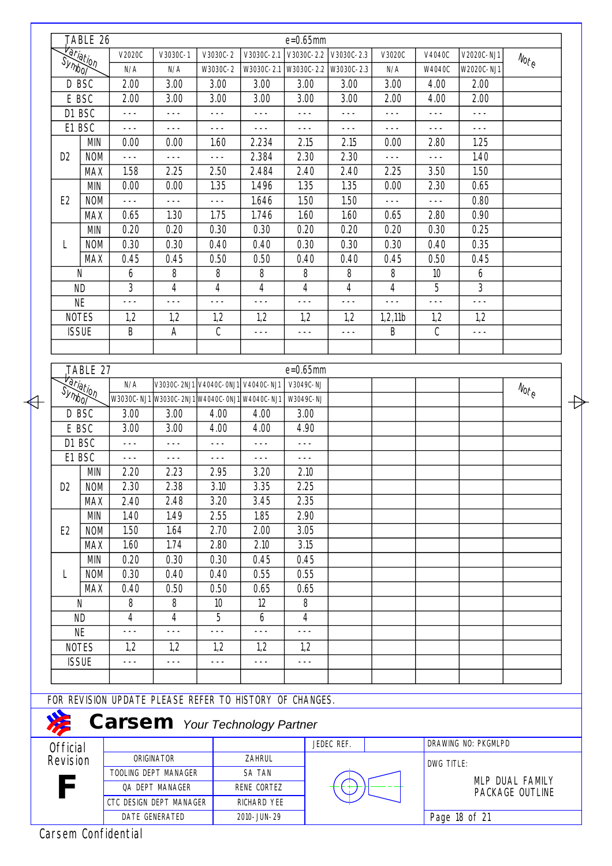|  |                             | TABLE 26   |                                                         |                                               |               |                 | $e = 0.65$ mm         |            |         |            |                     |                                 |
|--|-----------------------------|------------|---------------------------------------------------------|-----------------------------------------------|---------------|-----------------|-----------------------|------------|---------|------------|---------------------|---------------------------------|
|  |                             |            | V2020C                                                  | V3030C-1                                      | V3030C-2      | V3030C-2.1      | V3030C-2.2 V3030C-2.3 |            | V3020C  | V4040C     | V2020C-NJ1          | $N_{O\!f\!}_\Theta$             |
|  | <b><i>Variation</i></b>     |            | N/A                                                     | N/A                                           | W3030C-2      | W3030C-2.1      | W3030C-2.2 W3030C-2.3 |            | N/A     | W4040C     | W2020C-NJ1          |                                 |
|  | D BSC                       |            | 2.00                                                    | 3.00                                          | 3.00          | 3.00            | 3.00                  | 3.00       | 3.00    | 4.00       | 2.00                |                                 |
|  | E BSC                       |            | 2.00                                                    | 3.00                                          | 3.00          | 3.00            | 3.00                  | 3.00       | 2.00    | 4.00       | 2.00                |                                 |
|  | D1 BSC                      |            | $- - -$                                                 | $- - -$                                       | $- - -$       | $- - -$         | $- - -$               | $- - -$    | $- - -$ | $---$      | $- - -$             |                                 |
|  | E1 BSC                      |            | $- - -$                                                 | $- - -$                                       | $- - -$       | $- - -$         | $- - -$               | $---$      | $---$   | $---$      | $- - -$             |                                 |
|  |                             | <b>MIN</b> | 0.00                                                    | 0.00                                          | 1.60          | 2.234           | 2.15                  | 2.15       | 0.00    | 2.80       | 1.25                |                                 |
|  | D <sub>2</sub>              | <b>NOM</b> | $- - -$                                                 | $\frac{1}{2}$                                 | $- - -$       | 2.384           | 2.30                  | 2.30       | $- - -$ | $---$      | 1.40                |                                 |
|  |                             | <b>MAX</b> | 1.58                                                    | 2.25                                          | 2.50          | 2.484           | 2.40                  | 2.40       | 2.25    | 3.50       | 1.50                |                                 |
|  |                             | <b>MIN</b> | 0.00                                                    | 0.00                                          | 1.35          | 1.496           | 1.35                  | 1.35       | 0.00    | 2.30       | 0.65                |                                 |
|  | E <sub>2</sub>              | <b>NOM</b> | $- - -$                                                 | $- - -$                                       | $- - -$       | 1.646           | 1.50                  | 1.50       | $- - -$ | $- - -$    | 0.80                |                                 |
|  |                             | <b>MAX</b> | 0.65                                                    | 1.30                                          | 1.75          | 1.746           | 1.60                  | 1.60       | 0.65    | 2.80       | 0.90                |                                 |
|  |                             | <b>MIN</b> | 0.20                                                    | 0.20                                          | 0.30          | 0.30            | 0.20                  | 0.20       | 0.20    | 0.30       | 0.25                |                                 |
|  | L                           | <b>NOM</b> | 0.30                                                    | 0.30                                          | 0.40          | 0.40            | 0.30                  | 0.30       | 0.30    | 0.40       | 0.35                |                                 |
|  |                             | <b>MAX</b> | 0.45                                                    | 0.45                                          | 0.50          | 0.50            | 0.40                  | 0.40       | 0.45    | 0.50       | 0.45                |                                 |
|  | N                           |            | 6                                                       | 8                                             | 8             | 8               | 8                     | 8          | 8       | 10         | 6                   |                                 |
|  | <b>ND</b>                   |            | 3                                                       | 4                                             | 4             | 4               | 4                     | 4          | 4       | 5          | 3                   |                                 |
|  | <b>NE</b>                   |            | $- - -$                                                 | $- - -$                                       | ---           | $- - -$         | $- - -$               | ---        |         | $- - -$    | $- - -$             |                                 |
|  | <b>NOTES</b>                |            | 1,2                                                     | 1,2                                           | 1,2           | 1,2             | 1,2                   | 1,2        | 1,2,11b | 1,2        | 1,2                 |                                 |
|  | <b>ISSUE</b>                |            | B                                                       | A                                             | C             | $- - -$         | $---$                 | $- - -$    | B       | C          | $---$               |                                 |
|  |                             |            |                                                         |                                               |               |                 |                       |            |         |            |                     |                                 |
|  |                             | TABLE 27   |                                                         |                                               |               |                 | $e = 0.65$ mm         |            |         |            |                     |                                 |
|  |                             |            | N/A                                                     | V3030C-2NJ1 V4040C-0NJ1                       |               | V4040C-NJ1      | V3049C-NJ             |            |         |            |                     |                                 |
|  | <del>Variation</del>        |            |                                                         | W3030C-NJ1 W3030C-2NJ1 W4040C-0NJ1 W4040C-NJ1 |               |                 | W3049C-NJ             |            |         |            |                     | $N_{O_{\vec{t}_{\mathcal{C}}}}$ |
|  | D BSC                       |            | 3.00                                                    | 3.00                                          | 4.00          | 4.00            | 3.00                  |            |         |            |                     |                                 |
|  |                             |            | 3.00                                                    | 3.00                                          | 4.00          | 4.00            | 4.90                  |            |         |            |                     |                                 |
|  | E BSC<br>D1 BSC             |            | $- - -$                                                 | $- - -$                                       | $- - -$       | $- - -$         | $- - -$               |            |         |            |                     |                                 |
|  | E1 BSC                      |            |                                                         |                                               |               |                 |                       |            |         |            |                     |                                 |
|  |                             | <b>MIN</b> | $---$<br>2.20                                           | $- - -$<br>2.23                               | $---$<br>2.95 | $- - -$<br>3.20 | $---$<br>2.10         |            |         |            |                     |                                 |
|  | D2                          | <b>NOM</b> | 2.30                                                    | 2.38                                          | 3.10          | 3.35            | 2.25                  |            |         |            |                     |                                 |
|  |                             | <b>MAX</b> | 2.40                                                    | 2.48                                          | 3.20          | 3.45            | 2.35                  |            |         |            |                     |                                 |
|  |                             | <b>MIN</b> | 1.40                                                    | 1.49                                          | 2.55          | 1.85            | 2.90                  |            |         |            |                     |                                 |
|  |                             |            |                                                         |                                               |               |                 |                       |            |         |            |                     |                                 |
|  | E <sub>2</sub>              | <b>NOM</b> | 1.50                                                    | 1.64                                          | 2.70          | 2.00            | 3.05                  |            |         |            |                     |                                 |
|  |                             | <b>MAX</b> | 1.60                                                    | 1.74                                          | 2.80          | 2.10            | 3.15                  |            |         |            |                     |                                 |
|  |                             | MIN        | 0.20                                                    | 0.30                                          | 0.30          | 0.45            | 0.45                  |            |         |            |                     |                                 |
|  | L                           | <b>NOM</b> | 0.30                                                    | 0.40                                          | 0.40          | 0.55            | 0.55                  |            |         |            |                     |                                 |
|  |                             | <b>MAX</b> | 0.40                                                    | 0.50                                          | 0.50          | 0.65            | 0.65                  |            |         |            |                     |                                 |
|  | N                           |            | 8                                                       | 8                                             | 10            | 12              | 8                     |            |         |            |                     |                                 |
|  | <b>ND</b>                   |            | 4<br>$- - -$                                            | 4<br>$- - -$                                  | 5<br>$- - -$  | 6<br>$- - -$    | 4<br>$- - -$          |            |         |            |                     |                                 |
|  | <b>NE</b>                   |            |                                                         |                                               |               |                 |                       |            |         |            |                     |                                 |
|  | <b>NOTES</b>                |            | 1,2                                                     | 1,2                                           | 1,2           | 1,2             | 1,2                   |            |         |            |                     |                                 |
|  | <b>ISSUE</b>                |            | $- - -$                                                 | $---$                                         | $---$         | $- - -$         | $---$                 |            |         |            |                     |                                 |
|  |                             |            |                                                         |                                               |               |                 |                       |            |         |            |                     |                                 |
|  |                             |            | FOR REVISION UPDATE PLEASE REFER TO HISTORY OF CHANGES. |                                               |               |                 |                       |            |         |            |                     |                                 |
|  |                             |            | <b>Carsem</b> Your Technology Partner                   |                                               |               |                 |                       |            |         |            |                     |                                 |
|  |                             |            |                                                         |                                               |               |                 |                       | JEDEC REF. |         |            | DRAWING NO: PKGMLPD |                                 |
|  | <b>Official</b><br>Revision |            |                                                         | ORIGINATOR                                    |               | ZAHRUL          |                       |            |         |            |                     |                                 |
|  |                             |            |                                                         | TOOLING DEPT MANAGER                          |               | SA TAN          |                       |            |         | DWG TITLE: |                     |                                 |
|  |                             |            |                                                         | QA DEPT MANAGER                               |               | RENE CORTEZ     |                       |            |         |            |                     | MLP DUAL FAMILY                 |
|  |                             |            | CTC DESIGN DEPT MANAGER                                 |                                               |               | RICHARD YEE     |                       |            |         |            |                     | PACKAGE OUTLINE                 |
|  |                             |            |                                                         |                                               |               |                 |                       |            |         |            |                     |                                 |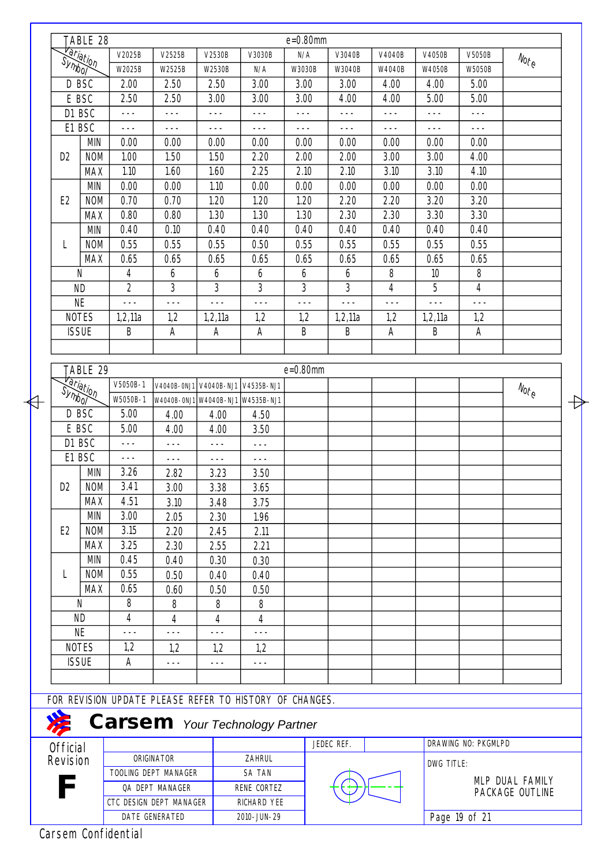|                  | TABLE 28         |                |                                                         |                        |             | $e = 0.80$ mm |            |                |            |                     |                                  |
|------------------|------------------|----------------|---------------------------------------------------------|------------------------|-------------|---------------|------------|----------------|------------|---------------------|----------------------------------|
|                  |                  | V2025B         | V2525B                                                  | V2530B                 | V3030B      | N/A           | V3040B     | V4040B         | V4050B     | V5050B              | $N_{O\acute{t}_{\tiny C}}$       |
| <i>Variation</i> |                  | W2025B         | W2525B                                                  | W2530B                 | N/A         | W3030B        | W3040B     | W4040B         | W4050B     | W5050B              |                                  |
|                  | D BSC            | 2.00           | 2.50                                                    | 2.50                   | 3.00        | 3.00          | 3.00       | 4.00           | 4.00       | 5.00                |                                  |
|                  | E BSC            | 2.50           | 2.50                                                    | 3.00                   | 3.00        | 3.00          | 4.00       | 4.00           | 5.00       | 5.00                |                                  |
|                  | D1 BSC           | $- - -$        | $- - -$                                                 | $---$                  | $- - -$     | $- - -$       | $- - -$    | $---$          | $- - -$    | $- - -$             |                                  |
|                  | E1 BSC           | $- - -$        | $---$                                                   | $---$                  | $- - -$     | $- - -$       | $---$      | $---$          | $- - -$    | $- - -$             |                                  |
|                  | <b>MIN</b>       | 0.00           | 0.00                                                    | 0.00                   | 0.00        | 0.00          | 0.00       | 0.00           | 0.00       | 0.00                |                                  |
| D <sub>2</sub>   | <b>NOM</b>       | 1.00           | 1.50                                                    | 1.50                   | 2.20        | 2.00          | 2.00       | 3.00           | 3.00       | 4.00                |                                  |
|                  | <b>MAX</b>       | 1.10           | 1.60                                                    | 1.60                   | 2.25        | 2.10          | 2.10       | 3.10           | 3.10       | 4.10                |                                  |
|                  | <b>MIN</b>       | 0.00           | 0.00                                                    | 1.10                   | 0.00        | 0.00          | 0.00       | 0.00           | 0.00       | 0.00                |                                  |
| E <sub>2</sub>   | <b>NOM</b>       | 0.70           | 0.70                                                    | 1.20                   | 1.20        | 1.20          | 2.20       | 2.20           | 3.20       | 3.20                |                                  |
|                  | <b>MAX</b>       | 0.80           | 0.80                                                    | 1.30                   | 1.30        | 1.30          | 2.30       | 2.30           | 3.30       | 3.30                |                                  |
|                  | <b>MIN</b>       | 0.40           | 0.10                                                    | 0.40                   | 0.40        | 0.40          | 0.40       | 0.40           | 0.40       | 0.40                |                                  |
| L                | <b>NOM</b>       | 0.55           | 0.55                                                    | 0.55                   | 0.50        | 0.55          | 0.55       | 0.55           | 0.55       | 0.55                |                                  |
|                  | <b>MAX</b>       | 0.65           | 0.65                                                    | 0.65                   | 0.65        | 0.65          | 0.65       | 0.65           | 0.65       | 0.65                |                                  |
|                  | N                | 4              | 6                                                       | 6                      | 6           | 6             | 6          | 8              | 10         | 8                   |                                  |
|                  | <b>ND</b>        | $\overline{2}$ | 3                                                       | 3                      | 3           | 3             | 3          | $\overline{4}$ | 5          | 4                   |                                  |
|                  | <b>NE</b>        | $- - -$        | $- - -$                                                 | $- - -$                | $- - -$     | $- - -$       | $- - -$    | $- - -$        | $- - -$    | $- - -$             |                                  |
|                  | <b>NOTES</b>     | 1,2,11a        | 1,2                                                     | 1,2,11a                | 1,2         | 1,2           | 1,2,11a    | 1,2            | 1,2,11a    | 1,2                 |                                  |
|                  | <b>ISSUE</b>     | B              | Α                                                       | A                      | Α           | B             | Β          | Α              | B          | А                   |                                  |
|                  |                  |                |                                                         |                        |             |               |            |                |            |                     |                                  |
|                  | TABLE 29         |                |                                                         |                        |             | $e = 0.80$ mm |            |                |            |                     |                                  |
|                  |                  | V5050B-1       |                                                         | V4040B-0NJ1 V4040B-NJ1 | V4535B-NJ1  |               |            |                |            |                     |                                  |
| <b>Symbol</b>    | <b>Hariation</b> | W5050B-1       |                                                         |                        |             |               |            |                |            |                     | $N_{\text{O} \text{f}_\text{C}}$ |
|                  | D BSC            | 5.00           | W4040B-0NJ1 W4040B-NJ1 W4535B-NJ1                       |                        |             |               |            |                |            |                     |                                  |
|                  | E BSC            | 5.00           | 4.00                                                    | 4.00                   | 4.50        |               |            |                |            |                     |                                  |
|                  |                  |                | 4.00                                                    | 4.00                   | 3.50        |               |            |                |            |                     |                                  |
|                  | D1 BSC           | $- - -$        | ---                                                     | ---                    | ---         |               |            |                |            |                     |                                  |
|                  | E1 BSC           | $---$          | $---$                                                   | $- - -$                | $- - -$     |               |            |                |            |                     |                                  |
|                  | <b>MIN</b>       | 3.26           | 2.82                                                    | 3.23                   | 3.50        |               |            |                |            |                     |                                  |
| D2               | <b>NOM</b>       | 3.41           | 3.00                                                    | 3.38                   | 3.65        |               |            |                |            |                     |                                  |
|                  | <b>MAX</b>       | 4.51           | 3.10                                                    | 3.48                   | 3.75        |               |            |                |            |                     |                                  |
|                  | <b>MIN</b>       | 3.00           | 2.05                                                    | 2.30                   | 1.96        |               |            |                |            |                     |                                  |
| E <sub>2</sub>   | <b>NOM</b>       | 3.15           | 2.20                                                    | 2.45                   | 2.11        |               |            |                |            |                     |                                  |
|                  | <b>MAX</b>       | 3.25           | 2.30                                                    | 2.55                   | 2.21        |               |            |                |            |                     |                                  |
|                  | <b>MIN</b>       | 0.45           | 0.40                                                    | 0.30                   | 0.30        |               |            |                |            |                     |                                  |
| L                | <b>NOM</b>       | 0.55           | 0.50                                                    | 0.40                   | 0.40        |               |            |                |            |                     |                                  |
|                  | <b>MAX</b>       | 0.65           | 0.60                                                    | 0.50                   | 0.50        |               |            |                |            |                     |                                  |
|                  | N                | 8              | 8                                                       | 8                      | 8           |               |            |                |            |                     |                                  |
|                  | <b>ND</b>        | 4              | 4                                                       | 4                      | 4           |               |            |                |            |                     |                                  |
|                  | <b>NE</b>        | $---$          | $- - -$                                                 | $- - -$                | $- - -$     |               |            |                |            |                     |                                  |
|                  | <b>NOTES</b>     | 1,2            | 1,2                                                     | 1,2                    | 1,2         |               |            |                |            |                     |                                  |
|                  | <b>ISSUE</b>     | Α              | ---                                                     | $--$                   | $---$       |               |            |                |            |                     |                                  |
|                  |                  |                |                                                         |                        |             |               |            |                |            |                     |                                  |
|                  |                  |                | FOR REVISION UPDATE PLEASE REFER TO HISTORY OF CHANGES. |                        |             |               |            |                |            |                     |                                  |
| <b>SSS</b>       |                  |                | <b>Carsem</b> Your Technology Partner                   |                        |             |               |            |                |            |                     |                                  |
| <b>Official</b>  |                  |                |                                                         |                        |             |               | JEDEC REF. |                |            | DRAWING NO: PKGMLPD |                                  |
| Revision         |                  |                | ORIGINATOR                                              |                        | ZAHRUL      |               |            |                | DWG TITLE: |                     |                                  |
|                  |                  |                | TOOLING DEPT MANAGER                                    |                        | SA TAN      |               |            |                |            |                     | MLP DUAL FAMILY                  |
|                  |                  |                | QA DEPT MANAGER                                         |                        | RENE CORTEZ |               |            |                |            |                     | PACKAGE OUTLINE                  |
|                  |                  |                | CTC DESIGN DEPT MANAGER                                 |                        | RICHARD YEE |               |            |                |            |                     |                                  |
|                  |                  |                | DATE GENERATED                                          |                        | 2010-JUN-29 |               |            |                |            | Page 19 of 21       |                                  |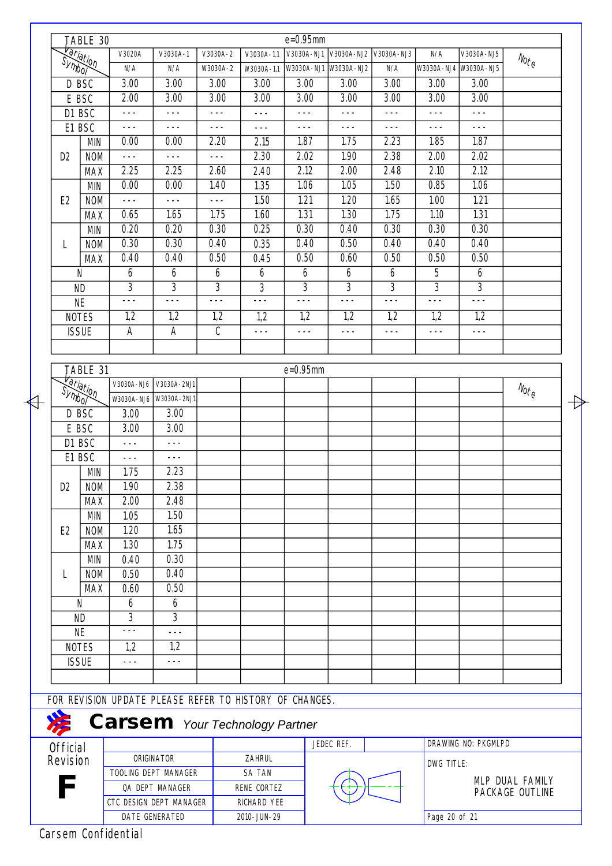|                       |                 | TABLE 30           |                                                         |                 |                |                | $e = 0.95$ mm     |                       |                   |                |                     |                                  |   |
|-----------------------|-----------------|--------------------|---------------------------------------------------------|-----------------|----------------|----------------|-------------------|-----------------------|-------------------|----------------|---------------------|----------------------------------|---|
|                       |                 | <b>Hariation</b>   | V3020A                                                  | V3030A-1        | V3030A-2       | $V3030A-1.1$   | V3030A-NJ1        | V3030A-NJ2 V3030A-NJ3 |                   | N/A            | V3030A-NJ5          |                                  |   |
|                       |                 |                    | N/A                                                     | N/A             | W3030A-2       | W3030A-1.1     |                   | W3030A-NJ1 W3030A-NJ2 | N/A               | W3030A-NJ4     | W3030A-NJ5          | $\mathcal{N}_{ot_{\mathcal{C}}}$ |   |
|                       | D BSC           |                    | 3.00                                                    | 3.00            | 3.00           | 3.00           | $\overline{3.00}$ | $\overline{3.00}$     | $\overline{3.00}$ | 3.00           | $\overline{3.00}$   |                                  |   |
|                       |                 | E BSC              | 2.00                                                    | 3.00            | 3.00           | 3.00           | 3.00              | 3.00                  | 3.00              | 3.00           | 3.00                |                                  |   |
|                       |                 | D1 BSC             | $---$                                                   | $---$           | $---$          | $---$          | $- - -$           | $- - -$               | $- - -$           | $---$          | $---$               |                                  |   |
|                       |                 | E1 BSC             | $- - -$                                                 | $- - -$         | $- - -$        | $- - -$        | $- - -$           | $- - -$               | $- - -$           | $- - -$        | $- - -$             |                                  |   |
|                       |                 | <b>MIN</b>         | 0.00                                                    | 0.00            | 2.20           | 2.15           | 1.87              | 1.75                  | 2.23              | 1.85           | 1.87                |                                  |   |
|                       | D <sub>2</sub>  | <b>NOM</b>         | $- - -$                                                 | $- - -$         | $- - -$        | 2.30           | 2.02              | 1.90                  | 2.38              | 2.00           | 2.02                |                                  |   |
|                       |                 | <b>MAX</b>         | 2.25                                                    | 2.25            | 2.60           | 2.40           | 2.12              | 2.00                  | 2.48              | 2.10           | 2.12                |                                  |   |
|                       |                 | <b>MIN</b>         | 0.00                                                    | 0.00            | 1.40           | 1.35           | 1.06              | 1.05                  | 1.50              | 0.85           | 1.06                |                                  |   |
|                       | E <sub>2</sub>  | <b>NOM</b>         | $- - -$                                                 | $- - -$         | $- - -$        | 1.50           | 1.21              | 1.20                  | 1.65              | 1.00           | 1.21                |                                  |   |
|                       |                 | <b>MAX</b>         | 0.65                                                    | 1.65            | 1.75           | 1.60           | 1.31              | 1.30                  | 1.75              | 1.10           | 1.31                |                                  |   |
|                       |                 | <b>MIN</b>         | 0.20                                                    | 0.20            | 0.30           | 0.25           | 0.30              | 0.40                  | 0.30              | 0.30           | 0.30                |                                  |   |
|                       | L               | <b>NOM</b>         | 0.30                                                    | 0.30            | 0.40           | 0.35           | 0.40              | 0.50                  | 0.40              | 0.40           | 0.40                |                                  |   |
|                       |                 | <b>MAX</b>         | 0.40                                                    | 0.40            | 0.50           | 0.45           | 0.50              | 0.60                  | 0.50              | 0.50           | 0.50                |                                  |   |
|                       |                 | N                  | 6                                                       | 6               | 6              | 6              | 6                 | 6                     | 6                 | 5              | 6                   |                                  |   |
|                       |                 | <b>ND</b>          | $\overline{3}$                                          | $\overline{3}$  | $\overline{3}$ | $\overline{3}$ | $\overline{3}$    | $\overline{3}$        | $\overline{3}$    | $\overline{3}$ | $\overline{3}$      |                                  |   |
|                       |                 | <b>NE</b>          | $- - -$                                                 | $- - -$         | $- - -$        | $- - -$        | $- - -$           | $- - -$               | $- - -$           | $- - -$        | $- - -$             |                                  |   |
|                       |                 | <b>NOTES</b>       | 1,2                                                     | 1,2             | 1,2            | 1,2            | 1,2               | 1,2                   | 1,2               | 1,2            | 1,2                 |                                  |   |
|                       |                 | <b>ISSUE</b>       | A                                                       | A               | C              | $- - -$        | $- - -$           | $---$                 | $- - -$           | $---$          | $---$               |                                  |   |
|                       |                 |                    |                                                         |                 |                |                |                   |                       |                   |                |                     |                                  |   |
|                       |                 |                    |                                                         |                 |                |                |                   |                       |                   |                |                     |                                  |   |
|                       |                 | TABLE 31           |                                                         |                 |                |                | $e = 0.95$ mm     |                       |                   |                |                     |                                  |   |
|                       | Hariation       |                    | V3030A-NJ6                                              | V3030A-2NJ1     |                |                |                   |                       |                   |                |                     | $N_{O_{\vec{t}_{\mathcal{C}}}}$  |   |
| $\overline{\text{+}}$ |                 |                    | W3030A-NJ6                                              | W3030A-2NJ1     |                |                |                   |                       |                   |                |                     |                                  | Đ |
|                       | D BSC           |                    | 3.00                                                    | 3.00            |                |                |                   |                       |                   |                |                     |                                  |   |
|                       | E BSC           |                    | 3.00                                                    | 3.00            |                |                |                   |                       |                   |                |                     |                                  |   |
|                       |                 | D1 BSC             | $---$                                                   | $---$           |                |                |                   |                       |                   |                |                     |                                  |   |
|                       |                 | E1 BSC             | $- - -$                                                 | $- - -$         |                |                |                   |                       |                   |                |                     |                                  |   |
|                       |                 | <b>MIN</b>         | 1.75                                                    | 2.23            |                |                |                   |                       |                   |                |                     |                                  |   |
|                       |                 | D <sub>2</sub> NOM | 1.90                                                    | 2.38            |                |                |                   |                       |                   |                |                     |                                  |   |
|                       |                 | <b>MAX</b>         | 2.00                                                    | 2.48<br>1.50    |                |                |                   |                       |                   |                |                     |                                  |   |
|                       |                 | <b>MIN</b>         | 1.05                                                    |                 |                |                |                   |                       |                   |                |                     |                                  |   |
|                       | E <sub>2</sub>  | <b>NOM</b>         | 1.20                                                    | 1.65            |                |                |                   |                       |                   |                |                     |                                  |   |
|                       |                 | MAX                | 1.30                                                    | 1.75<br>0.30    |                |                |                   |                       |                   |                |                     |                                  |   |
|                       |                 | <b>MIN</b>         | 0.40                                                    |                 |                |                |                   |                       |                   |                |                     |                                  |   |
|                       | L               | <b>NOM</b>         | 0.50<br>0.60                                            | 0.40<br>0.50    |                |                |                   |                       |                   |                |                     |                                  |   |
|                       |                 | <b>MAX</b>         |                                                         | 6               |                |                |                   |                       |                   |                |                     |                                  |   |
|                       |                 | N<br><b>ND</b>     | 6<br>3                                                  | 3               |                |                |                   |                       |                   |                |                     |                                  |   |
|                       |                 | <b>NE</b>          | $---$                                                   | $- - -$         |                |                |                   |                       |                   |                |                     |                                  |   |
|                       |                 | <b>NOTES</b>       | 1,2                                                     | 1,2             |                |                |                   |                       |                   |                |                     |                                  |   |
|                       |                 | <b>ISSUE</b>       | $- - -$                                                 | $- - -$         |                |                |                   |                       |                   |                |                     |                                  |   |
|                       |                 |                    |                                                         |                 |                |                |                   |                       |                   |                |                     |                                  |   |
|                       |                 |                    |                                                         |                 |                |                |                   |                       |                   |                |                     |                                  |   |
|                       |                 |                    | FOR REVISION UPDATE PLEASE REFER TO HISTORY OF CHANGES. |                 |                |                |                   |                       |                   |                |                     |                                  |   |
|                       |                 |                    | <b>Carsem</b> Your Technology Partner                   |                 |                |                |                   |                       |                   |                |                     |                                  |   |
|                       | <b>Official</b> |                    |                                                         |                 |                |                |                   | JEDEC REF.            |                   |                | DRAWING NO: PKGMLPD |                                  |   |
|                       | Revision        |                    |                                                         | ORIGINATOR      |                | ZAHRUL         |                   |                       |                   | DWG TITLE:     |                     |                                  |   |
|                       |                 |                    | TOOLING DEPT MANAGER                                    |                 |                | SA TAN         |                   |                       |                   |                |                     | MLP DUAL FAMILY                  |   |
|                       |                 |                    |                                                         | QA DEPT MANAGER |                | RENE CORTEZ    |                   |                       |                   |                |                     | PACKAGE OUTLINE                  |   |
|                       |                 |                    | CTC DESIGN DEPT MANAGER                                 |                 |                | RICHARD YEE    |                   |                       |                   |                |                     |                                  |   |
|                       |                 |                    |                                                         | DATE GENERATED  |                | 2010-JUN-29    |                   |                       |                   |                | Page 20 of 21       |                                  |   |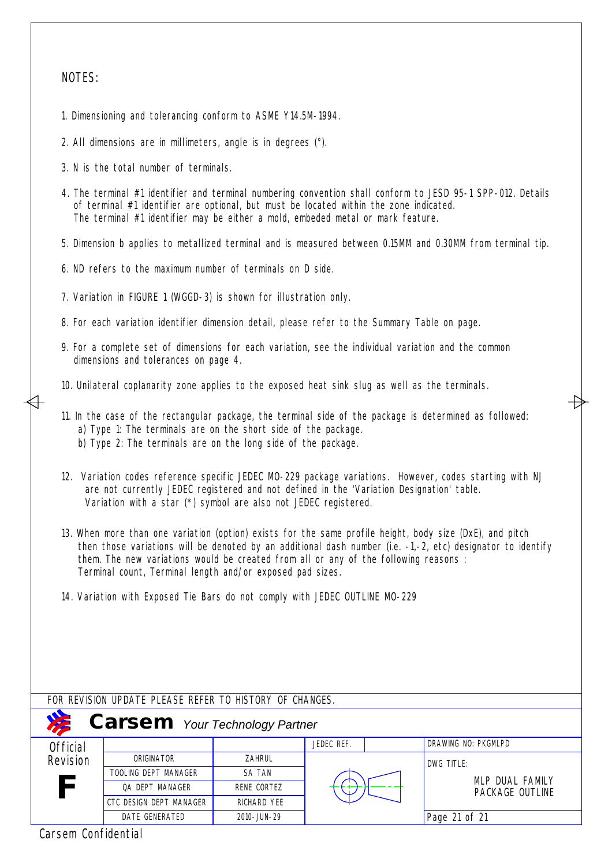### NOTES:

- 1. Dimensioning and tolerancing conform to ASME Y14.5M-1994.
- 2. All dimensions are in millimeters, angle is in degrees (°).
- 3. N is the total number of terminals.
- 4. The terminal #1 identifier and terminal numbering convention shall conform to JESD 95-1 SPP-012. Details of terminal #1 identifier are optional, but must be located within the zone indicated. The terminal #1 identifier may be either a mold, embeded metal or mark feature.
- 5. Dimension b applies to metallized terminal and is measured between 0.15MM and 0.30MM from terminal tip.
- 6. ND refers to the maximum number of terminals on D side.
- 7. Variation in FIGURE 1 (WGGD-3) is shown for illustration only.
- 8. For each variation identifier dimension detail, please refer to the Summary Table on page.
- 9. For a complete set of dimensions for each variation, see the individual variation and the common dimensions and tolerances on page 4.
- 10. Unilateral coplanarity zone applies to the exposed heat sink slug as well as the terminals.
- 11. In the case of the rectangular package, the terminal side of the package is determined as followed: a) Type 1: The terminals are on the short side of the package. b) Type 2: The terminals are on the long side of the package.
- 12. Variation codes reference specific JEDEC MO-229 package variations. However, codes starting with NJ are not currently JEDEC registered and not defined in the 'Variation Designation' table. Variation with a star (\*) symbol are also not JEDEC registered.
- 13. When more than one variation (option) exists for the same profile height, body size (DxE), and pitch then those variations will be denoted by an additional dash number (i.e. -1,-2, etc) designator to identify them. The new variations would be created from all or any of the following reasons : Terminal count, Terminal length and/or exposed pad sizes.
- 14. Variation with Exposed Tie Bars do not comply with JEDEC OUTLINE MO-229

| FOR REVISION UPDATE PLEASE REFER TO HISTORY OF CHANGES. |                         |                    |            |  |                                    |  |  |  |  |
|---------------------------------------------------------|-------------------------|--------------------|------------|--|------------------------------------|--|--|--|--|
| <b>Carsem</b> Your Technology Partner                   |                         |                    |            |  |                                    |  |  |  |  |
| <b>Official</b>                                         |                         |                    | JEDEC REF. |  | DRAWING NO: PKGMLPD                |  |  |  |  |
| Revision                                                | ORIGINATOR              | ZAHRUL             |            |  | DWG TITLE:                         |  |  |  |  |
|                                                         | TOOLING DEPT MANAGER    | <b>SA TAN</b>      |            |  |                                    |  |  |  |  |
| F                                                       | OA DEPT MANAGER         | RENE CORTEZ        |            |  | MLP DUAL FAMILY<br>PACKAGE OUTLINE |  |  |  |  |
|                                                         | CTC DESIGN DEPT MANAGER | <b>RICHARD YEE</b> |            |  |                                    |  |  |  |  |
|                                                         | <b>DATE GENERATED</b>   | 2010-JUN-29        |            |  | Page 21 of 21                      |  |  |  |  |